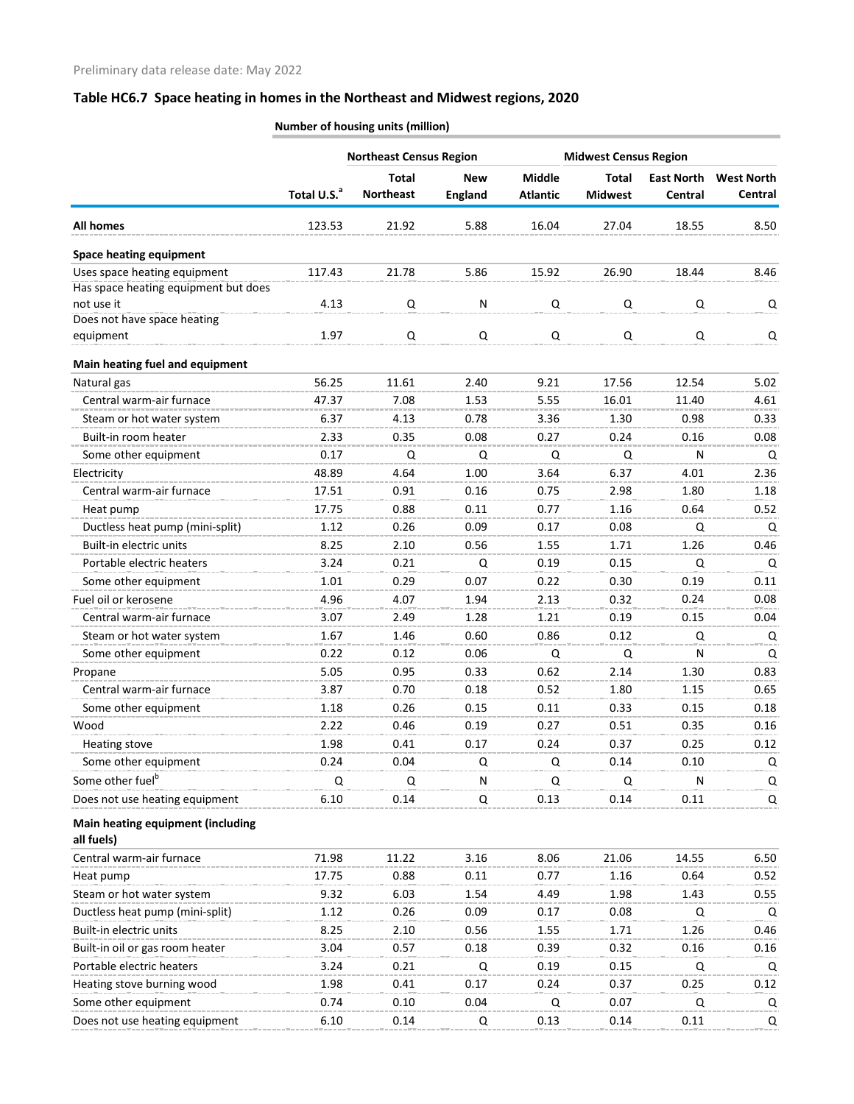| <b>Total</b><br><b>Middle</b><br><b>Total</b><br><b>East North</b><br><b>New</b><br>Total U.S. <sup>a</sup><br><b>Northeast</b><br><b>England</b><br><b>Midwest</b><br><b>Atlantic</b><br>Central<br><b>All homes</b><br>123.53<br>21.92<br>5.88<br>16.04<br>27.04<br>18.55<br><b>Space heating equipment</b><br>Uses space heating equipment<br>21.78<br>5.86<br>15.92<br>26.90<br>18.44<br>117.43<br>Has space heating equipment but does<br>not use it<br>4.13<br>Q<br>N<br>Q<br>Q<br>Q<br>Does not have space heating<br>1.97<br>Q<br>Q<br>Q<br>Q<br>Q<br>equipment<br>Q<br>Main heating fuel and equipment<br>Natural gas<br>56.25<br>11.61<br>2.40<br>9.21<br>17.56<br>12.54<br>Central warm-air furnace<br>5.55<br>47.37<br>7.08<br>1.53<br>16.01<br>11.40<br>6.37<br>4.13<br>3.36<br>1.30<br>0.98<br>Steam or hot water system<br>0.78<br>Built-in room heater<br>2.33<br>0.08<br>0.27<br>0.24<br>0.35<br>0.16<br>0.17<br>$\mathsf Q$<br>N<br>Some other equipment<br>Q<br>Q<br>Q<br>1.00<br>3.64<br>4.01<br>Electricity<br>48.89<br>4.64<br>6.37<br>Central warm-air furnace<br>0.75<br>17.51<br>0.91<br>0.16<br>2.98<br>1.80<br>0.88<br>0.64<br>0.11<br>0.77<br>1.16<br>17.75<br>Heat pump<br>Ductless heat pump (mini-split)<br>1.12<br>0.09<br>0.26<br>0.17<br>0.08<br>Q<br>Built-in electric units<br>1.55<br>8.25<br>2.10<br>0.56<br>1.71<br>1.26<br>Portable electric heaters<br>3.24<br>0.21<br>Q<br>0.19<br>0.15<br>Q<br>0.07<br>0.22<br>0.19<br>Some other equipment<br>1.01<br>0.29<br>0.30<br>4.96<br>4.07<br>2.13<br>0.32<br>Fuel oil or kerosene<br>0.24<br>1.94<br>Central warm-air furnace<br>3.07<br>1.21<br>2.49<br>1.28<br>0.19<br>0.15<br>Steam or hot water system<br>1.67<br>1.46<br>0.60<br>0.86<br>0.12<br>Q<br>Some other equipment<br>N<br>0.22<br>0.12<br>0.06<br>Q<br>Q<br>0.62<br>5.05<br>0.95<br>0.33<br>2.14<br>1.30<br>Propane<br>Central warm-air furnace<br>3.87<br>0.70<br>0.18<br>0.52<br>1.80<br>1.15<br>Some other equipment<br>1.18<br>0.26<br>0.15<br>0.11<br>0.33<br>0.15<br>0.27<br>Wood<br>2.22<br>0.46<br>0.19<br>0.51<br>0.35<br>Heating stove<br>1.98<br>0.24<br>0.37<br>0.25<br>0.41<br>0.17<br>Some other equipment<br>0.24<br>0.04<br>Q<br>Q<br>0.14<br>0.10<br>Some other fuel <sup>b</sup><br>Q<br>$\mathsf{N}$<br>Q<br>Q<br>Q<br>N<br>Does not use heating equipment<br>0.13<br>6.10<br>0.14<br>0.14<br>0.11<br>Q<br>Main heating equipment (including<br>all fuels)<br>21.06<br>Central warm-air furnace<br>71.98<br>11.22<br>3.16<br>8.06<br>14.55<br>6.50<br>17.75<br>0.88<br>0.11<br>0.77<br>0.52<br>Heat pump<br>1.16<br>0.64<br>Steam or hot water system<br>9.32<br>6.03<br>1.54<br>4.49<br>1.98<br>1.43<br>0.55<br>Ductless heat pump (mini-split)<br>1.12<br>0.26<br>0.09<br>0.17<br>0.08<br>Q<br>Q<br>Built-in electric units<br>8.25<br>0.46<br>2.10<br>0.56<br>1.55<br>1.71<br>1.26<br>Built-in oil or gas room heater<br>3.04<br>0.57<br>0.18<br>0.39<br>0.32<br>0.16<br>0.16<br>Portable electric heaters<br>3.24<br>0.19<br>0.21<br>Q<br>0.15<br>Q<br>Q<br>Heating stove burning wood<br>1.98<br>0.17<br>0.25<br>0.12<br>0.41<br>0.24<br>0.37<br>Some other equipment<br>0.74<br>0.10<br>0.04<br>0.07<br>Q<br>Q<br>Q |                                | <b>Midwest Census Region</b><br><b>Northeast Census Region</b> |      |   |      |      |      |                   |
|-------------------------------------------------------------------------------------------------------------------------------------------------------------------------------------------------------------------------------------------------------------------------------------------------------------------------------------------------------------------------------------------------------------------------------------------------------------------------------------------------------------------------------------------------------------------------------------------------------------------------------------------------------------------------------------------------------------------------------------------------------------------------------------------------------------------------------------------------------------------------------------------------------------------------------------------------------------------------------------------------------------------------------------------------------------------------------------------------------------------------------------------------------------------------------------------------------------------------------------------------------------------------------------------------------------------------------------------------------------------------------------------------------------------------------------------------------------------------------------------------------------------------------------------------------------------------------------------------------------------------------------------------------------------------------------------------------------------------------------------------------------------------------------------------------------------------------------------------------------------------------------------------------------------------------------------------------------------------------------------------------------------------------------------------------------------------------------------------------------------------------------------------------------------------------------------------------------------------------------------------------------------------------------------------------------------------------------------------------------------------------------------------------------------------------------------------------------------------------------------------------------------------------------------------------------------------------------------------------------------------------------------------------------------------------------------------------------------------------------------------------------------------------------------------------------------------------------------------------------------------------------------------------------------------------------------------------------------------------------------------------------------------------------------------------------------------------------------------------------------------------------------------------------------------------------------------|--------------------------------|----------------------------------------------------------------|------|---|------|------|------|-------------------|
|                                                                                                                                                                                                                                                                                                                                                                                                                                                                                                                                                                                                                                                                                                                                                                                                                                                                                                                                                                                                                                                                                                                                                                                                                                                                                                                                                                                                                                                                                                                                                                                                                                                                                                                                                                                                                                                                                                                                                                                                                                                                                                                                                                                                                                                                                                                                                                                                                                                                                                                                                                                                                                                                                                                                                                                                                                                                                                                                                                                                                                                                                                                                                                                                 |                                |                                                                |      |   |      |      |      | <b>West North</b> |
|                                                                                                                                                                                                                                                                                                                                                                                                                                                                                                                                                                                                                                                                                                                                                                                                                                                                                                                                                                                                                                                                                                                                                                                                                                                                                                                                                                                                                                                                                                                                                                                                                                                                                                                                                                                                                                                                                                                                                                                                                                                                                                                                                                                                                                                                                                                                                                                                                                                                                                                                                                                                                                                                                                                                                                                                                                                                                                                                                                                                                                                                                                                                                                                                 |                                |                                                                |      |   |      |      |      | Central           |
|                                                                                                                                                                                                                                                                                                                                                                                                                                                                                                                                                                                                                                                                                                                                                                                                                                                                                                                                                                                                                                                                                                                                                                                                                                                                                                                                                                                                                                                                                                                                                                                                                                                                                                                                                                                                                                                                                                                                                                                                                                                                                                                                                                                                                                                                                                                                                                                                                                                                                                                                                                                                                                                                                                                                                                                                                                                                                                                                                                                                                                                                                                                                                                                                 |                                |                                                                |      |   |      |      |      | 8.50              |
|                                                                                                                                                                                                                                                                                                                                                                                                                                                                                                                                                                                                                                                                                                                                                                                                                                                                                                                                                                                                                                                                                                                                                                                                                                                                                                                                                                                                                                                                                                                                                                                                                                                                                                                                                                                                                                                                                                                                                                                                                                                                                                                                                                                                                                                                                                                                                                                                                                                                                                                                                                                                                                                                                                                                                                                                                                                                                                                                                                                                                                                                                                                                                                                                 |                                |                                                                |      |   |      |      |      |                   |
|                                                                                                                                                                                                                                                                                                                                                                                                                                                                                                                                                                                                                                                                                                                                                                                                                                                                                                                                                                                                                                                                                                                                                                                                                                                                                                                                                                                                                                                                                                                                                                                                                                                                                                                                                                                                                                                                                                                                                                                                                                                                                                                                                                                                                                                                                                                                                                                                                                                                                                                                                                                                                                                                                                                                                                                                                                                                                                                                                                                                                                                                                                                                                                                                 |                                |                                                                |      |   |      |      |      | 8.46              |
|                                                                                                                                                                                                                                                                                                                                                                                                                                                                                                                                                                                                                                                                                                                                                                                                                                                                                                                                                                                                                                                                                                                                                                                                                                                                                                                                                                                                                                                                                                                                                                                                                                                                                                                                                                                                                                                                                                                                                                                                                                                                                                                                                                                                                                                                                                                                                                                                                                                                                                                                                                                                                                                                                                                                                                                                                                                                                                                                                                                                                                                                                                                                                                                                 |                                |                                                                |      |   |      |      |      |                   |
|                                                                                                                                                                                                                                                                                                                                                                                                                                                                                                                                                                                                                                                                                                                                                                                                                                                                                                                                                                                                                                                                                                                                                                                                                                                                                                                                                                                                                                                                                                                                                                                                                                                                                                                                                                                                                                                                                                                                                                                                                                                                                                                                                                                                                                                                                                                                                                                                                                                                                                                                                                                                                                                                                                                                                                                                                                                                                                                                                                                                                                                                                                                                                                                                 |                                |                                                                |      |   |      |      |      | Q                 |
|                                                                                                                                                                                                                                                                                                                                                                                                                                                                                                                                                                                                                                                                                                                                                                                                                                                                                                                                                                                                                                                                                                                                                                                                                                                                                                                                                                                                                                                                                                                                                                                                                                                                                                                                                                                                                                                                                                                                                                                                                                                                                                                                                                                                                                                                                                                                                                                                                                                                                                                                                                                                                                                                                                                                                                                                                                                                                                                                                                                                                                                                                                                                                                                                 |                                |                                                                |      |   |      |      |      |                   |
|                                                                                                                                                                                                                                                                                                                                                                                                                                                                                                                                                                                                                                                                                                                                                                                                                                                                                                                                                                                                                                                                                                                                                                                                                                                                                                                                                                                                                                                                                                                                                                                                                                                                                                                                                                                                                                                                                                                                                                                                                                                                                                                                                                                                                                                                                                                                                                                                                                                                                                                                                                                                                                                                                                                                                                                                                                                                                                                                                                                                                                                                                                                                                                                                 |                                |                                                                |      |   |      |      |      |                   |
|                                                                                                                                                                                                                                                                                                                                                                                                                                                                                                                                                                                                                                                                                                                                                                                                                                                                                                                                                                                                                                                                                                                                                                                                                                                                                                                                                                                                                                                                                                                                                                                                                                                                                                                                                                                                                                                                                                                                                                                                                                                                                                                                                                                                                                                                                                                                                                                                                                                                                                                                                                                                                                                                                                                                                                                                                                                                                                                                                                                                                                                                                                                                                                                                 |                                |                                                                |      |   |      |      |      |                   |
|                                                                                                                                                                                                                                                                                                                                                                                                                                                                                                                                                                                                                                                                                                                                                                                                                                                                                                                                                                                                                                                                                                                                                                                                                                                                                                                                                                                                                                                                                                                                                                                                                                                                                                                                                                                                                                                                                                                                                                                                                                                                                                                                                                                                                                                                                                                                                                                                                                                                                                                                                                                                                                                                                                                                                                                                                                                                                                                                                                                                                                                                                                                                                                                                 |                                |                                                                |      |   |      |      |      | 5.02              |
|                                                                                                                                                                                                                                                                                                                                                                                                                                                                                                                                                                                                                                                                                                                                                                                                                                                                                                                                                                                                                                                                                                                                                                                                                                                                                                                                                                                                                                                                                                                                                                                                                                                                                                                                                                                                                                                                                                                                                                                                                                                                                                                                                                                                                                                                                                                                                                                                                                                                                                                                                                                                                                                                                                                                                                                                                                                                                                                                                                                                                                                                                                                                                                                                 |                                |                                                                |      |   |      |      |      | 4.61              |
|                                                                                                                                                                                                                                                                                                                                                                                                                                                                                                                                                                                                                                                                                                                                                                                                                                                                                                                                                                                                                                                                                                                                                                                                                                                                                                                                                                                                                                                                                                                                                                                                                                                                                                                                                                                                                                                                                                                                                                                                                                                                                                                                                                                                                                                                                                                                                                                                                                                                                                                                                                                                                                                                                                                                                                                                                                                                                                                                                                                                                                                                                                                                                                                                 |                                |                                                                |      |   |      |      |      | 0.33              |
|                                                                                                                                                                                                                                                                                                                                                                                                                                                                                                                                                                                                                                                                                                                                                                                                                                                                                                                                                                                                                                                                                                                                                                                                                                                                                                                                                                                                                                                                                                                                                                                                                                                                                                                                                                                                                                                                                                                                                                                                                                                                                                                                                                                                                                                                                                                                                                                                                                                                                                                                                                                                                                                                                                                                                                                                                                                                                                                                                                                                                                                                                                                                                                                                 |                                |                                                                |      |   |      |      |      | 0.08              |
|                                                                                                                                                                                                                                                                                                                                                                                                                                                                                                                                                                                                                                                                                                                                                                                                                                                                                                                                                                                                                                                                                                                                                                                                                                                                                                                                                                                                                                                                                                                                                                                                                                                                                                                                                                                                                                                                                                                                                                                                                                                                                                                                                                                                                                                                                                                                                                                                                                                                                                                                                                                                                                                                                                                                                                                                                                                                                                                                                                                                                                                                                                                                                                                                 |                                |                                                                |      |   |      |      |      | Q                 |
|                                                                                                                                                                                                                                                                                                                                                                                                                                                                                                                                                                                                                                                                                                                                                                                                                                                                                                                                                                                                                                                                                                                                                                                                                                                                                                                                                                                                                                                                                                                                                                                                                                                                                                                                                                                                                                                                                                                                                                                                                                                                                                                                                                                                                                                                                                                                                                                                                                                                                                                                                                                                                                                                                                                                                                                                                                                                                                                                                                                                                                                                                                                                                                                                 |                                |                                                                |      |   |      |      |      | 2.36              |
|                                                                                                                                                                                                                                                                                                                                                                                                                                                                                                                                                                                                                                                                                                                                                                                                                                                                                                                                                                                                                                                                                                                                                                                                                                                                                                                                                                                                                                                                                                                                                                                                                                                                                                                                                                                                                                                                                                                                                                                                                                                                                                                                                                                                                                                                                                                                                                                                                                                                                                                                                                                                                                                                                                                                                                                                                                                                                                                                                                                                                                                                                                                                                                                                 |                                |                                                                |      |   |      |      |      | 1.18              |
|                                                                                                                                                                                                                                                                                                                                                                                                                                                                                                                                                                                                                                                                                                                                                                                                                                                                                                                                                                                                                                                                                                                                                                                                                                                                                                                                                                                                                                                                                                                                                                                                                                                                                                                                                                                                                                                                                                                                                                                                                                                                                                                                                                                                                                                                                                                                                                                                                                                                                                                                                                                                                                                                                                                                                                                                                                                                                                                                                                                                                                                                                                                                                                                                 |                                |                                                                |      |   |      |      |      | 0.52              |
|                                                                                                                                                                                                                                                                                                                                                                                                                                                                                                                                                                                                                                                                                                                                                                                                                                                                                                                                                                                                                                                                                                                                                                                                                                                                                                                                                                                                                                                                                                                                                                                                                                                                                                                                                                                                                                                                                                                                                                                                                                                                                                                                                                                                                                                                                                                                                                                                                                                                                                                                                                                                                                                                                                                                                                                                                                                                                                                                                                                                                                                                                                                                                                                                 |                                |                                                                |      |   |      |      |      | Q                 |
|                                                                                                                                                                                                                                                                                                                                                                                                                                                                                                                                                                                                                                                                                                                                                                                                                                                                                                                                                                                                                                                                                                                                                                                                                                                                                                                                                                                                                                                                                                                                                                                                                                                                                                                                                                                                                                                                                                                                                                                                                                                                                                                                                                                                                                                                                                                                                                                                                                                                                                                                                                                                                                                                                                                                                                                                                                                                                                                                                                                                                                                                                                                                                                                                 |                                |                                                                |      |   |      |      |      | 0.46              |
|                                                                                                                                                                                                                                                                                                                                                                                                                                                                                                                                                                                                                                                                                                                                                                                                                                                                                                                                                                                                                                                                                                                                                                                                                                                                                                                                                                                                                                                                                                                                                                                                                                                                                                                                                                                                                                                                                                                                                                                                                                                                                                                                                                                                                                                                                                                                                                                                                                                                                                                                                                                                                                                                                                                                                                                                                                                                                                                                                                                                                                                                                                                                                                                                 |                                |                                                                |      |   |      |      |      | Q                 |
|                                                                                                                                                                                                                                                                                                                                                                                                                                                                                                                                                                                                                                                                                                                                                                                                                                                                                                                                                                                                                                                                                                                                                                                                                                                                                                                                                                                                                                                                                                                                                                                                                                                                                                                                                                                                                                                                                                                                                                                                                                                                                                                                                                                                                                                                                                                                                                                                                                                                                                                                                                                                                                                                                                                                                                                                                                                                                                                                                                                                                                                                                                                                                                                                 |                                |                                                                |      |   |      |      |      | 0.11              |
|                                                                                                                                                                                                                                                                                                                                                                                                                                                                                                                                                                                                                                                                                                                                                                                                                                                                                                                                                                                                                                                                                                                                                                                                                                                                                                                                                                                                                                                                                                                                                                                                                                                                                                                                                                                                                                                                                                                                                                                                                                                                                                                                                                                                                                                                                                                                                                                                                                                                                                                                                                                                                                                                                                                                                                                                                                                                                                                                                                                                                                                                                                                                                                                                 |                                |                                                                |      |   |      |      |      | 0.08              |
|                                                                                                                                                                                                                                                                                                                                                                                                                                                                                                                                                                                                                                                                                                                                                                                                                                                                                                                                                                                                                                                                                                                                                                                                                                                                                                                                                                                                                                                                                                                                                                                                                                                                                                                                                                                                                                                                                                                                                                                                                                                                                                                                                                                                                                                                                                                                                                                                                                                                                                                                                                                                                                                                                                                                                                                                                                                                                                                                                                                                                                                                                                                                                                                                 |                                |                                                                |      |   |      |      |      | 0.04              |
|                                                                                                                                                                                                                                                                                                                                                                                                                                                                                                                                                                                                                                                                                                                                                                                                                                                                                                                                                                                                                                                                                                                                                                                                                                                                                                                                                                                                                                                                                                                                                                                                                                                                                                                                                                                                                                                                                                                                                                                                                                                                                                                                                                                                                                                                                                                                                                                                                                                                                                                                                                                                                                                                                                                                                                                                                                                                                                                                                                                                                                                                                                                                                                                                 |                                |                                                                |      |   |      |      |      | Q                 |
|                                                                                                                                                                                                                                                                                                                                                                                                                                                                                                                                                                                                                                                                                                                                                                                                                                                                                                                                                                                                                                                                                                                                                                                                                                                                                                                                                                                                                                                                                                                                                                                                                                                                                                                                                                                                                                                                                                                                                                                                                                                                                                                                                                                                                                                                                                                                                                                                                                                                                                                                                                                                                                                                                                                                                                                                                                                                                                                                                                                                                                                                                                                                                                                                 |                                |                                                                |      |   |      |      |      | Q                 |
|                                                                                                                                                                                                                                                                                                                                                                                                                                                                                                                                                                                                                                                                                                                                                                                                                                                                                                                                                                                                                                                                                                                                                                                                                                                                                                                                                                                                                                                                                                                                                                                                                                                                                                                                                                                                                                                                                                                                                                                                                                                                                                                                                                                                                                                                                                                                                                                                                                                                                                                                                                                                                                                                                                                                                                                                                                                                                                                                                                                                                                                                                                                                                                                                 |                                |                                                                |      |   |      |      |      | 0.83              |
|                                                                                                                                                                                                                                                                                                                                                                                                                                                                                                                                                                                                                                                                                                                                                                                                                                                                                                                                                                                                                                                                                                                                                                                                                                                                                                                                                                                                                                                                                                                                                                                                                                                                                                                                                                                                                                                                                                                                                                                                                                                                                                                                                                                                                                                                                                                                                                                                                                                                                                                                                                                                                                                                                                                                                                                                                                                                                                                                                                                                                                                                                                                                                                                                 |                                |                                                                |      |   |      |      |      | 0.65              |
|                                                                                                                                                                                                                                                                                                                                                                                                                                                                                                                                                                                                                                                                                                                                                                                                                                                                                                                                                                                                                                                                                                                                                                                                                                                                                                                                                                                                                                                                                                                                                                                                                                                                                                                                                                                                                                                                                                                                                                                                                                                                                                                                                                                                                                                                                                                                                                                                                                                                                                                                                                                                                                                                                                                                                                                                                                                                                                                                                                                                                                                                                                                                                                                                 |                                |                                                                |      |   |      |      |      | 0.18              |
|                                                                                                                                                                                                                                                                                                                                                                                                                                                                                                                                                                                                                                                                                                                                                                                                                                                                                                                                                                                                                                                                                                                                                                                                                                                                                                                                                                                                                                                                                                                                                                                                                                                                                                                                                                                                                                                                                                                                                                                                                                                                                                                                                                                                                                                                                                                                                                                                                                                                                                                                                                                                                                                                                                                                                                                                                                                                                                                                                                                                                                                                                                                                                                                                 |                                |                                                                |      |   |      |      |      | 0.16              |
|                                                                                                                                                                                                                                                                                                                                                                                                                                                                                                                                                                                                                                                                                                                                                                                                                                                                                                                                                                                                                                                                                                                                                                                                                                                                                                                                                                                                                                                                                                                                                                                                                                                                                                                                                                                                                                                                                                                                                                                                                                                                                                                                                                                                                                                                                                                                                                                                                                                                                                                                                                                                                                                                                                                                                                                                                                                                                                                                                                                                                                                                                                                                                                                                 |                                |                                                                |      |   |      |      |      | 0.12              |
|                                                                                                                                                                                                                                                                                                                                                                                                                                                                                                                                                                                                                                                                                                                                                                                                                                                                                                                                                                                                                                                                                                                                                                                                                                                                                                                                                                                                                                                                                                                                                                                                                                                                                                                                                                                                                                                                                                                                                                                                                                                                                                                                                                                                                                                                                                                                                                                                                                                                                                                                                                                                                                                                                                                                                                                                                                                                                                                                                                                                                                                                                                                                                                                                 |                                |                                                                |      |   |      |      |      | Q                 |
|                                                                                                                                                                                                                                                                                                                                                                                                                                                                                                                                                                                                                                                                                                                                                                                                                                                                                                                                                                                                                                                                                                                                                                                                                                                                                                                                                                                                                                                                                                                                                                                                                                                                                                                                                                                                                                                                                                                                                                                                                                                                                                                                                                                                                                                                                                                                                                                                                                                                                                                                                                                                                                                                                                                                                                                                                                                                                                                                                                                                                                                                                                                                                                                                 |                                |                                                                |      |   |      |      |      | Q                 |
|                                                                                                                                                                                                                                                                                                                                                                                                                                                                                                                                                                                                                                                                                                                                                                                                                                                                                                                                                                                                                                                                                                                                                                                                                                                                                                                                                                                                                                                                                                                                                                                                                                                                                                                                                                                                                                                                                                                                                                                                                                                                                                                                                                                                                                                                                                                                                                                                                                                                                                                                                                                                                                                                                                                                                                                                                                                                                                                                                                                                                                                                                                                                                                                                 |                                |                                                                |      |   |      |      |      | Q                 |
|                                                                                                                                                                                                                                                                                                                                                                                                                                                                                                                                                                                                                                                                                                                                                                                                                                                                                                                                                                                                                                                                                                                                                                                                                                                                                                                                                                                                                                                                                                                                                                                                                                                                                                                                                                                                                                                                                                                                                                                                                                                                                                                                                                                                                                                                                                                                                                                                                                                                                                                                                                                                                                                                                                                                                                                                                                                                                                                                                                                                                                                                                                                                                                                                 |                                |                                                                |      |   |      |      |      |                   |
|                                                                                                                                                                                                                                                                                                                                                                                                                                                                                                                                                                                                                                                                                                                                                                                                                                                                                                                                                                                                                                                                                                                                                                                                                                                                                                                                                                                                                                                                                                                                                                                                                                                                                                                                                                                                                                                                                                                                                                                                                                                                                                                                                                                                                                                                                                                                                                                                                                                                                                                                                                                                                                                                                                                                                                                                                                                                                                                                                                                                                                                                                                                                                                                                 |                                |                                                                |      |   |      |      |      |                   |
|                                                                                                                                                                                                                                                                                                                                                                                                                                                                                                                                                                                                                                                                                                                                                                                                                                                                                                                                                                                                                                                                                                                                                                                                                                                                                                                                                                                                                                                                                                                                                                                                                                                                                                                                                                                                                                                                                                                                                                                                                                                                                                                                                                                                                                                                                                                                                                                                                                                                                                                                                                                                                                                                                                                                                                                                                                                                                                                                                                                                                                                                                                                                                                                                 |                                |                                                                |      |   |      |      |      |                   |
|                                                                                                                                                                                                                                                                                                                                                                                                                                                                                                                                                                                                                                                                                                                                                                                                                                                                                                                                                                                                                                                                                                                                                                                                                                                                                                                                                                                                                                                                                                                                                                                                                                                                                                                                                                                                                                                                                                                                                                                                                                                                                                                                                                                                                                                                                                                                                                                                                                                                                                                                                                                                                                                                                                                                                                                                                                                                                                                                                                                                                                                                                                                                                                                                 |                                |                                                                |      |   |      |      |      |                   |
|                                                                                                                                                                                                                                                                                                                                                                                                                                                                                                                                                                                                                                                                                                                                                                                                                                                                                                                                                                                                                                                                                                                                                                                                                                                                                                                                                                                                                                                                                                                                                                                                                                                                                                                                                                                                                                                                                                                                                                                                                                                                                                                                                                                                                                                                                                                                                                                                                                                                                                                                                                                                                                                                                                                                                                                                                                                                                                                                                                                                                                                                                                                                                                                                 |                                |                                                                |      |   |      |      |      |                   |
|                                                                                                                                                                                                                                                                                                                                                                                                                                                                                                                                                                                                                                                                                                                                                                                                                                                                                                                                                                                                                                                                                                                                                                                                                                                                                                                                                                                                                                                                                                                                                                                                                                                                                                                                                                                                                                                                                                                                                                                                                                                                                                                                                                                                                                                                                                                                                                                                                                                                                                                                                                                                                                                                                                                                                                                                                                                                                                                                                                                                                                                                                                                                                                                                 |                                |                                                                |      |   |      |      |      |                   |
|                                                                                                                                                                                                                                                                                                                                                                                                                                                                                                                                                                                                                                                                                                                                                                                                                                                                                                                                                                                                                                                                                                                                                                                                                                                                                                                                                                                                                                                                                                                                                                                                                                                                                                                                                                                                                                                                                                                                                                                                                                                                                                                                                                                                                                                                                                                                                                                                                                                                                                                                                                                                                                                                                                                                                                                                                                                                                                                                                                                                                                                                                                                                                                                                 |                                |                                                                |      |   |      |      |      |                   |
|                                                                                                                                                                                                                                                                                                                                                                                                                                                                                                                                                                                                                                                                                                                                                                                                                                                                                                                                                                                                                                                                                                                                                                                                                                                                                                                                                                                                                                                                                                                                                                                                                                                                                                                                                                                                                                                                                                                                                                                                                                                                                                                                                                                                                                                                                                                                                                                                                                                                                                                                                                                                                                                                                                                                                                                                                                                                                                                                                                                                                                                                                                                                                                                                 |                                |                                                                |      |   |      |      |      |                   |
|                                                                                                                                                                                                                                                                                                                                                                                                                                                                                                                                                                                                                                                                                                                                                                                                                                                                                                                                                                                                                                                                                                                                                                                                                                                                                                                                                                                                                                                                                                                                                                                                                                                                                                                                                                                                                                                                                                                                                                                                                                                                                                                                                                                                                                                                                                                                                                                                                                                                                                                                                                                                                                                                                                                                                                                                                                                                                                                                                                                                                                                                                                                                                                                                 |                                |                                                                |      |   |      |      |      |                   |
|                                                                                                                                                                                                                                                                                                                                                                                                                                                                                                                                                                                                                                                                                                                                                                                                                                                                                                                                                                                                                                                                                                                                                                                                                                                                                                                                                                                                                                                                                                                                                                                                                                                                                                                                                                                                                                                                                                                                                                                                                                                                                                                                                                                                                                                                                                                                                                                                                                                                                                                                                                                                                                                                                                                                                                                                                                                                                                                                                                                                                                                                                                                                                                                                 |                                |                                                                |      |   |      |      |      |                   |
|                                                                                                                                                                                                                                                                                                                                                                                                                                                                                                                                                                                                                                                                                                                                                                                                                                                                                                                                                                                                                                                                                                                                                                                                                                                                                                                                                                                                                                                                                                                                                                                                                                                                                                                                                                                                                                                                                                                                                                                                                                                                                                                                                                                                                                                                                                                                                                                                                                                                                                                                                                                                                                                                                                                                                                                                                                                                                                                                                                                                                                                                                                                                                                                                 | Does not use heating equipment | 6.10                                                           | 0.14 | Q | 0.13 | 0.14 | 0.11 | Q                 |

**Number of housing units (million)**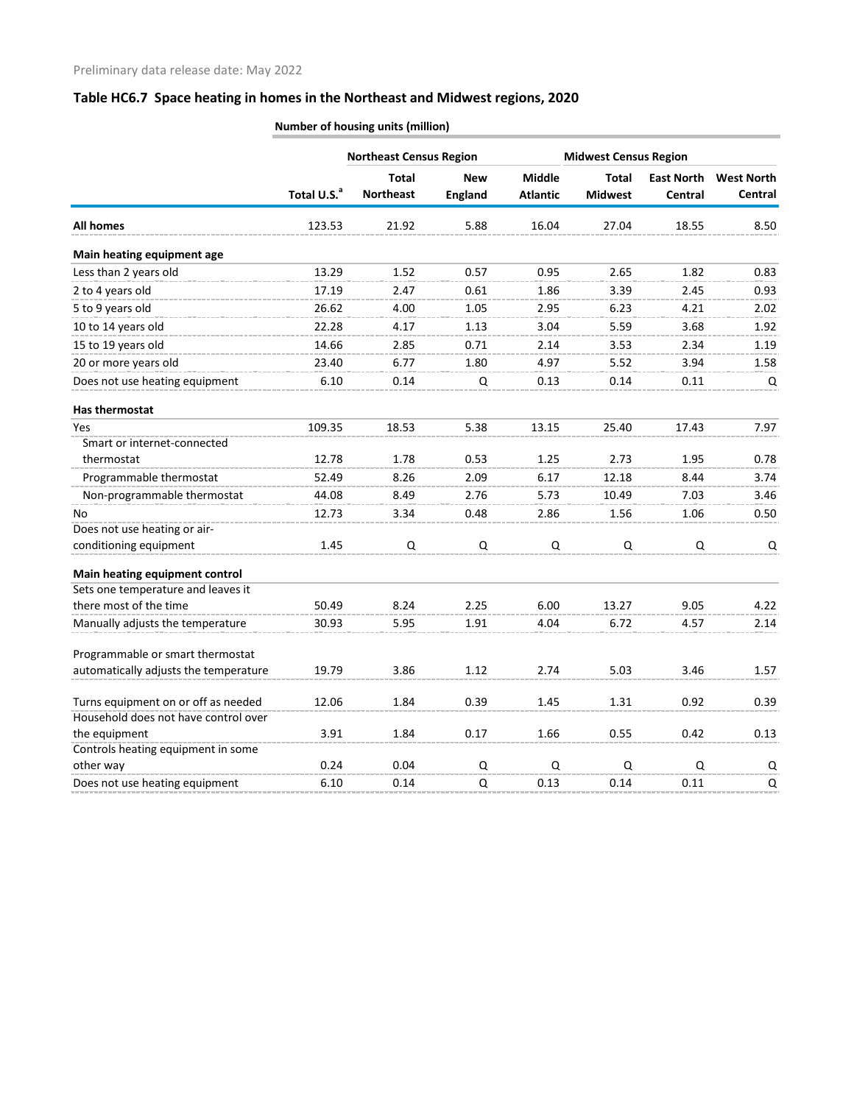|                                       |                         | <b>Northeast Census Region</b> |                |                 | <b>Midwest Census Region</b> |                   |                   |
|---------------------------------------|-------------------------|--------------------------------|----------------|-----------------|------------------------------|-------------------|-------------------|
|                                       |                         | <b>Total</b>                   | <b>New</b>     | <b>Middle</b>   | <b>Total</b>                 | <b>East North</b> | <b>West North</b> |
|                                       | Total U.S. <sup>a</sup> | <b>Northeast</b>               | <b>England</b> | <b>Atlantic</b> | <b>Midwest</b>               | Central           | <b>Central</b>    |
| <b>All homes</b>                      | 123.53                  | 21.92                          | 5.88           | 16.04           | 27.04                        | 18.55             | 8.50              |
| Main heating equipment age            |                         |                                |                |                 |                              |                   |                   |
| Less than 2 years old                 | 13.29                   | 1.52                           | 0.57           | 0.95            | 2.65                         | 1.82              | 0.83              |
| 2 to 4 years old                      | 17.19                   | 2.47                           | 0.61           | 1.86            | 3.39                         | 2.45              | 0.93              |
| 5 to 9 years old                      | 26.62                   | 4.00                           | 1.05           | 2.95            | 6.23                         | 4.21              | 2.02              |
| 10 to 14 years old                    | 22.28                   | 4.17                           | 1.13           | 3.04            | 5.59                         | 3.68              | 1.92              |
| 15 to 19 years old                    | 14.66                   | 2.85                           | 0.71           | 2.14            | 3.53                         | 2.34              | 1.19              |
| 20 or more years old                  | 23.40                   | 6.77                           | 1.80           | 4.97            | 5.52                         | 3.94              | 1.58              |
| Does not use heating equipment        | 6.10                    | 0.14                           | Q              | 0.13            | 0.14                         | 0.11              | Q                 |
| Has thermostat                        |                         |                                |                |                 |                              |                   |                   |
| Yes                                   | 109.35                  | 18.53                          | 5.38           | 13.15           | 25.40                        | 17.43             | 7.97              |
| Smart or internet-connected           |                         |                                |                |                 |                              |                   |                   |
| thermostat                            | 12.78                   | 1.78                           | 0.53           | 1.25            | 2.73                         | 1.95              | 0.78              |
| Programmable thermostat               | 52.49                   | 8.26                           | 2.09           | 6.17            | 12.18                        | 8.44              | 3.74              |
| Non-programmable thermostat           | 44.08                   | 8.49                           | 2.76           | 5.73            | 10.49                        | 7.03              | 3.46              |
| No                                    | 12.73                   | 3.34                           | 0.48           | 2.86            | 1.56                         | 1.06              | 0.50              |
| Does not use heating or air-          |                         |                                |                |                 |                              |                   |                   |
| conditioning equipment                | 1.45                    | Q                              | Q              | $\mathsf Q$     | $\Omega$                     | $\mathsf Q$       | Q                 |
| Main heating equipment control        |                         |                                |                |                 |                              |                   |                   |
| Sets one temperature and leaves it    |                         |                                |                |                 |                              |                   |                   |
| there most of the time                | 50.49                   | 8.24                           | 2.25           | 6.00            | 13.27                        | 9.05              | 4.22              |
| Manually adjusts the temperature      | 30.93                   | 5.95                           | 1.91           | 4.04            | 6.72                         | 4.57              | 2.14              |
| Programmable or smart thermostat      |                         |                                |                |                 |                              |                   |                   |
| automatically adjusts the temperature | 19.79                   | 3.86                           | 1.12           | 2.74            | 5.03                         | 3.46              | 1.57              |
| Turns equipment on or off as needed   | 12.06                   | 1.84                           | 0.39           | 1.45            | 1.31                         | 0.92              | 0.39              |
| Household does not have control over  |                         |                                |                |                 |                              |                   |                   |
| the equipment                         | 3.91                    | 1.84                           | 0.17           | 1.66            | 0.55                         | 0.42              | 0.13              |
| Controls heating equipment in some    |                         |                                |                |                 |                              |                   |                   |
| other way                             | 0.24                    | 0.04                           | $\mathsf Q$    | Q               | $\mathsf Q$                  | $\Omega$          | Q                 |
| Does not use heating equipment        | 6.10                    | 0.14                           | Q              | 0.13            | 0.14                         | 0.11              | Q                 |

**Number of housing units (million)**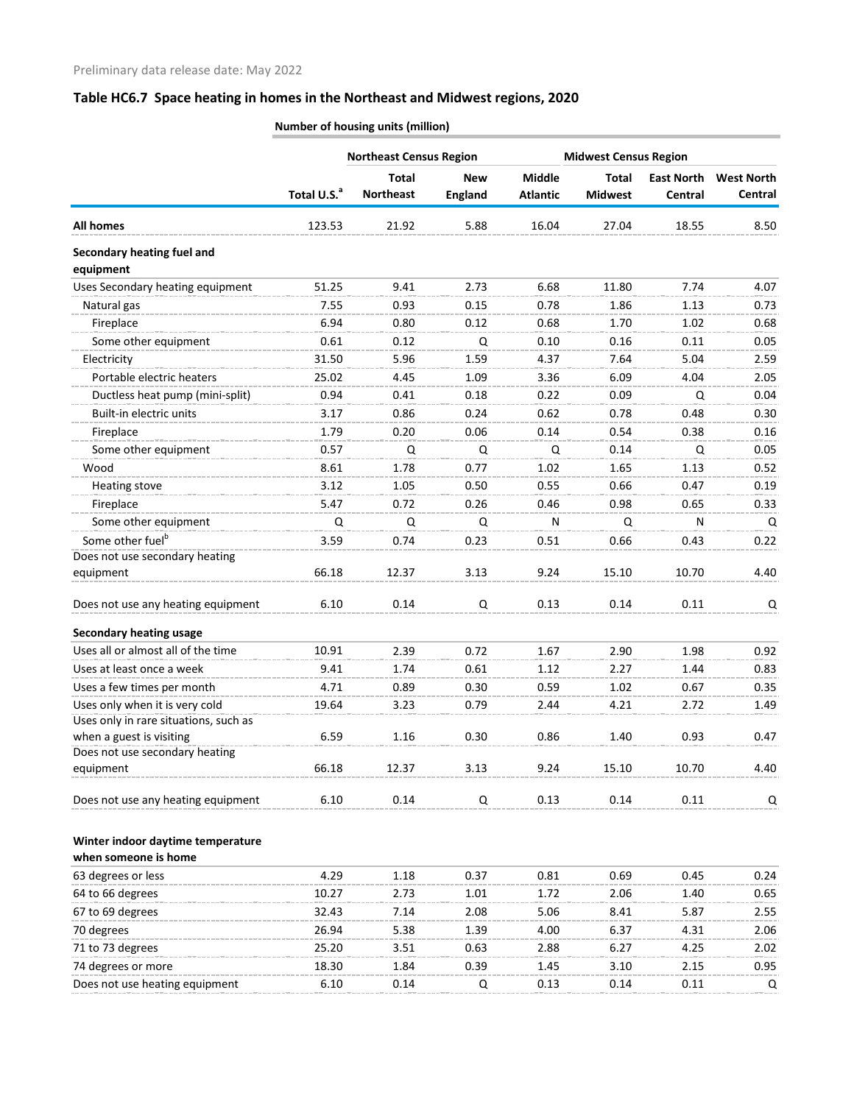|                                         |                         | <b>Northeast Census Region</b>   |                              |                                  | <b>Midwest Census Region</b>   |                              |                              |
|-----------------------------------------|-------------------------|----------------------------------|------------------------------|----------------------------------|--------------------------------|------------------------------|------------------------------|
|                                         | Total U.S. <sup>a</sup> | <b>Total</b><br><b>Northeast</b> | <b>New</b><br><b>England</b> | <b>Middle</b><br><b>Atlantic</b> | <b>Total</b><br><b>Midwest</b> | <b>East North</b><br>Central | <b>West North</b><br>Central |
| <b>All homes</b>                        | 123.53                  | 21.92                            | 5.88                         | 16.04                            | 27.04                          | 18.55                        | 8.50                         |
| Secondary heating fuel and<br>equipment |                         |                                  |                              |                                  |                                |                              |                              |
| Uses Secondary heating equipment        | 51.25                   | 9.41                             | 2.73                         | 6.68                             | 11.80                          | 7.74                         | 4.07                         |
| Natural gas                             | 7.55                    | 0.93                             | 0.15                         | 0.78                             | 1.86                           | 1.13                         | 0.73                         |
| Fireplace                               | 6.94                    | 0.80                             | 0.12                         | 0.68                             | 1.70                           | 1.02                         | 0.68                         |
| Some other equipment                    | 0.61                    | 0.12                             | Q                            | 0.10                             | 0.16                           | 0.11                         | 0.05                         |
| Electricity                             | 31.50                   | 5.96                             | 1.59                         | 4.37                             | 7.64                           | 5.04                         | 2.59                         |
| Portable electric heaters               | 25.02                   | 4.45                             | 1.09                         | 3.36                             | 6.09                           | 4.04                         | 2.05                         |
| Ductless heat pump (mini-split)         | 0.94                    | 0.41                             | 0.18                         | 0.22                             | 0.09                           | Q                            | 0.04                         |
| Built-in electric units                 | 3.17                    | 0.86                             | 0.24                         | 0.62                             | 0.78                           | 0.48                         | 0.30                         |
| Fireplace                               | 1.79                    | 0.20                             | 0.06                         | 0.14                             | 0.54                           | 0.38                         | 0.16                         |
| Some other equipment                    | 0.57                    | Q                                | Q                            | Q                                | 0.14                           | Q                            | 0.05                         |
| Wood                                    | 8.61                    | 1.78                             | 0.77                         | 1.02                             | 1.65                           | 1.13                         | 0.52                         |
| Heating stove                           | 3.12                    | 1.05                             | 0.50                         | 0.55                             | 0.66                           | 0.47                         | 0.19                         |
| Fireplace                               | 5.47                    | 0.72                             | 0.26                         | 0.46                             | 0.98                           | 0.65                         | 0.33                         |
| Some other equipment                    | Q                       | Q                                | Q                            | N                                | Q                              | N                            | Q                            |
| Some other fuel <sup>b</sup>            | 3.59                    | 0.74                             | 0.23                         | 0.51                             | 0.66                           | 0.43                         | 0.22                         |
| Does not use secondary heating          |                         |                                  |                              |                                  |                                |                              |                              |
| equipment                               | 66.18                   | 12.37                            | 3.13                         | 9.24                             | 15.10                          | 10.70                        | 4.40                         |
| Does not use any heating equipment      | 6.10                    | 0.14                             | Q                            | 0.13                             | 0.14                           | 0.11                         | Q                            |
| <b>Secondary heating usage</b>          |                         |                                  |                              |                                  |                                |                              |                              |
| Uses all or almost all of the time      | 10.91                   | 2.39                             | 0.72                         | 1.67                             | 2.90                           | 1.98                         | 0.92                         |
| Uses at least once a week               | 9.41                    | 1.74                             | 0.61                         | 1.12                             | 2.27                           | 1.44                         | 0.83                         |
| Uses a few times per month              | 4.71                    | 0.89                             | 0.30                         | 0.59                             | 1.02                           | 0.67                         | 0.35                         |
| Uses only when it is very cold          | 19.64                   | 3.23                             | 0.79                         | 2.44                             | 4.21                           | 2.72                         | 1.49                         |
| Uses only in rare situations, such as   |                         |                                  |                              |                                  |                                |                              |                              |
| when a guest is visiting                | 6.59                    | 1.16                             | 0.30                         | 0.86                             | 1.40                           | 0.93                         | 0.47                         |
| Does not use secondary heating          |                         |                                  |                              |                                  |                                |                              |                              |
| equipment                               | 66.18                   | 12.37                            | 3.13                         | 9.24                             | 15.10                          | 10.70                        | 4.40                         |
| Does not use any heating equipment      | 6.10                    | 0.14                             | Q                            | 0.13                             | 0.14                           | 0.11                         | Q                            |
| Winter indoor daytime temperature       |                         |                                  |                              |                                  |                                |                              |                              |

**Number of housing units (million)**

**when someone is home**

| 4.29  | 1.18 | 0.37 | 0.81 | 0.69 | 0.45 | 0.24 |
|-------|------|------|------|------|------|------|
| 10.27 | 2.73 | 1.01 | 1.72 | 2.06 | 1.40 | 0.65 |
| 32.43 | 7.14 | 2.08 | 5.06 | 8.41 | 5.87 | 2.55 |
| 26.94 | 5.38 | 1.39 | 4.00 | 6.37 | 4.31 | 2.06 |
| 25.20 | 3.51 | 0.63 | 2.88 | 6.27 | 4.25 | 2.02 |
| 18.30 | 1.84 | 0.39 | 1.45 | 3.10 | 2.15 | 0.95 |
| 6.10  | 0.14 |      | 0.13 | 0.14 | 0.11 | O    |
|       |      |      |      |      |      |      |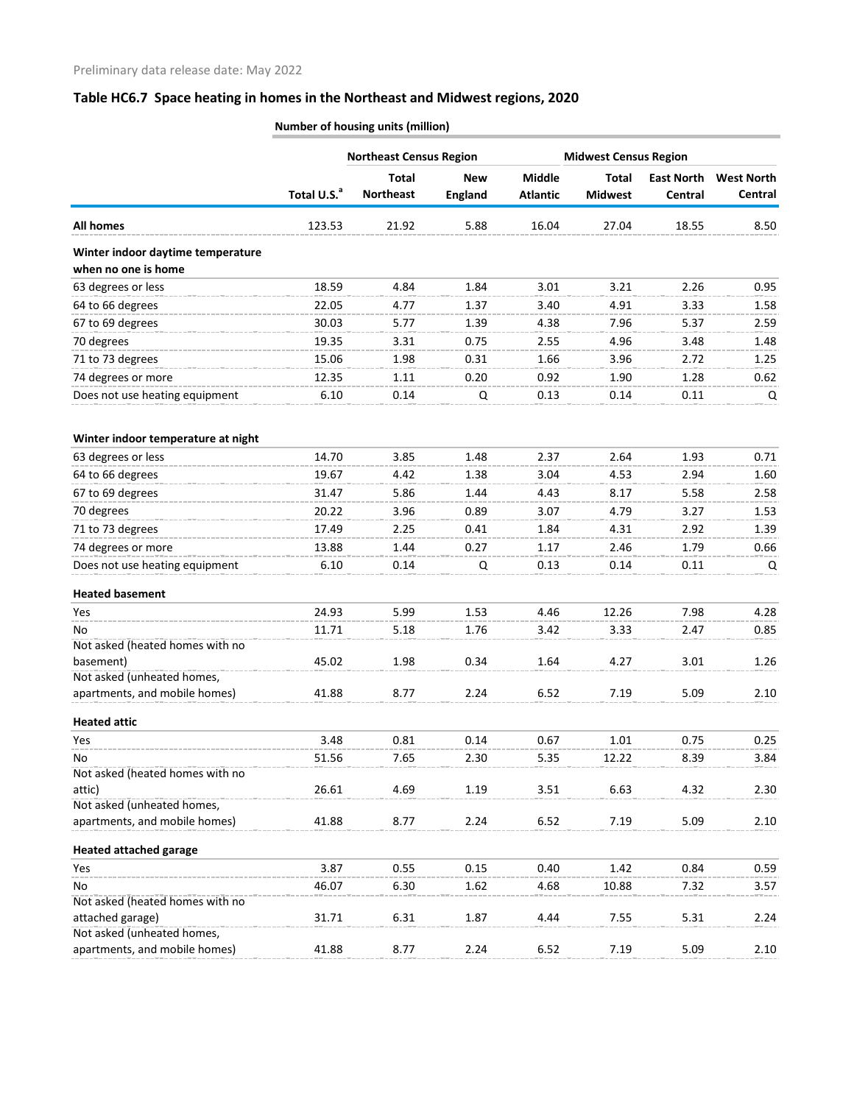|                                                          |                         | <b>Northeast Census Region</b>   |                              |                                  | <b>Midwest Census Region</b>   |                              |                              |  |
|----------------------------------------------------------|-------------------------|----------------------------------|------------------------------|----------------------------------|--------------------------------|------------------------------|------------------------------|--|
|                                                          | Total U.S. <sup>a</sup> | <b>Total</b><br><b>Northeast</b> | <b>New</b><br><b>England</b> | <b>Middle</b><br><b>Atlantic</b> | <b>Total</b><br><b>Midwest</b> | <b>East North</b><br>Central | <b>West North</b><br>Central |  |
| <b>All homes</b>                                         | 123.53                  | 21.92                            | 5.88                         | 16.04                            | 27.04                          | 18.55                        | 8.50                         |  |
| Winter indoor daytime temperature<br>when no one is home |                         |                                  |                              |                                  |                                |                              |                              |  |
| 63 degrees or less                                       | 18.59                   | 4.84                             | 1.84                         | 3.01                             | 3.21                           | 2.26                         | 0.95                         |  |
| 64 to 66 degrees                                         | 22.05                   | 4.77                             | 1.37                         | 3.40                             | 4.91                           | 3.33                         | 1.58                         |  |
| 67 to 69 degrees                                         | 30.03                   | 5.77                             | 1.39                         | 4.38                             | 7.96                           | 5.37                         | 2.59                         |  |
| 70 degrees                                               | 19.35                   | 3.31                             | 0.75                         | 2.55                             | 4.96                           | 3.48                         | 1.48                         |  |
| 71 to 73 degrees                                         | 15.06                   | 1.98                             | 0.31                         | 1.66                             | 3.96                           | 2.72                         | 1.25                         |  |
| 74 degrees or more                                       | 12.35                   | 1.11                             | 0.20                         | 0.92                             | 1.90                           | 1.28                         | 0.62                         |  |
| Does not use heating equipment                           | 6.10                    | 0.14                             | Q                            | 0.13                             | 0.14                           | 0.11                         | Q                            |  |
| Winter indoor temperature at night                       |                         |                                  |                              |                                  |                                |                              |                              |  |
| 63 degrees or less                                       | 14.70                   | 3.85                             | 1.48                         | 2.37                             | 2.64                           | 1.93                         | 0.71                         |  |
| 64 to 66 degrees                                         | 19.67                   | 4.42                             | 1.38                         | 3.04                             | 4.53                           | 2.94                         | 1.60                         |  |
| 67 to 69 degrees                                         | 31.47                   | 5.86                             | 1.44                         | 4.43                             | 8.17                           | 5.58                         | 2.58                         |  |
| 70 degrees                                               | 20.22                   | 3.96                             | 0.89                         | 3.07                             | 4.79                           | 3.27                         | 1.53                         |  |
| 71 to 73 degrees                                         | 17.49                   | 2.25                             | 0.41                         | 1.84                             | 4.31                           | 2.92                         | 1.39                         |  |
| 74 degrees or more                                       | 13.88                   | 1.44                             | 0.27                         | 1.17                             | 2.46                           | 1.79                         | 0.66                         |  |
|                                                          | 6.10                    | 0.14                             |                              | 0.13                             | 0.14                           | 0.11                         |                              |  |
| Does not use heating equipment                           |                         |                                  | Q                            |                                  |                                |                              | Q                            |  |
| <b>Heated basement</b>                                   |                         |                                  |                              |                                  |                                |                              |                              |  |
| Yes                                                      | 24.93                   | 5.99                             | 1.53                         | 4.46                             | 12.26                          | 7.98                         | 4.28                         |  |
| No                                                       | 11.71                   | 5.18                             | 1.76                         | 3.42                             | 3.33                           | 2.47                         | 0.85                         |  |
| Not asked (heated homes with no                          |                         |                                  |                              |                                  |                                |                              |                              |  |
| basement)                                                | 45.02                   | 1.98                             | 0.34                         | 1.64                             | 4.27                           | 3.01                         | 1.26                         |  |
| Not asked (unheated homes,                               |                         |                                  |                              |                                  |                                |                              |                              |  |
| apartments, and mobile homes)                            | 41.88                   | 8.77                             | 2.24                         | 6.52                             | 7.19                           | 5.09                         | 2.10                         |  |
| <b>Heated attic</b>                                      |                         |                                  |                              |                                  |                                |                              |                              |  |
| Yes                                                      | 3.48                    | 0.81                             | 0.14                         | 0.67                             | 1.01                           | 0.75                         | 0.25                         |  |
| No                                                       | 51.56                   | 7.65                             | 2.30                         | 5.35                             | 12.22                          | 8.39                         | 3.84                         |  |
| Not asked (heated homes with no                          |                         |                                  |                              |                                  |                                |                              |                              |  |
| attic)                                                   | 26.61                   | 4.69                             | 1.19                         | 3.51                             | 6.63                           | 4.32                         | 2.30                         |  |
| Not asked (unheated homes,                               |                         |                                  |                              |                                  |                                |                              |                              |  |
| apartments, and mobile homes)                            | 41.88                   | 8.77                             | 2.24                         | 6.52                             | 7.19                           | 5.09                         | 2.10                         |  |
| <b>Heated attached garage</b>                            |                         |                                  |                              |                                  |                                |                              |                              |  |
| Yes                                                      | 3.87                    | 0.55                             | 0.15                         | 0.40                             | 1.42                           | 0.84                         | 0.59                         |  |
| No                                                       | 46.07                   | 6.30                             | 1.62                         | 4.68                             | 10.88                          | 7.32                         | 3.57                         |  |
| Not asked (heated homes with no                          |                         |                                  |                              |                                  |                                |                              |                              |  |
| attached garage)                                         | 31.71                   | 6.31                             | 1.87                         | 4.44                             | 7.55                           | 5.31                         | 2.24                         |  |
| Not asked (unheated homes,                               |                         |                                  |                              |                                  |                                |                              |                              |  |
| apartments, and mobile homes)                            | 41.88                   | 8.77                             | 2.24                         | 6.52                             | 7.19                           | 5.09                         | 2.10                         |  |

**Number of housing units (million)**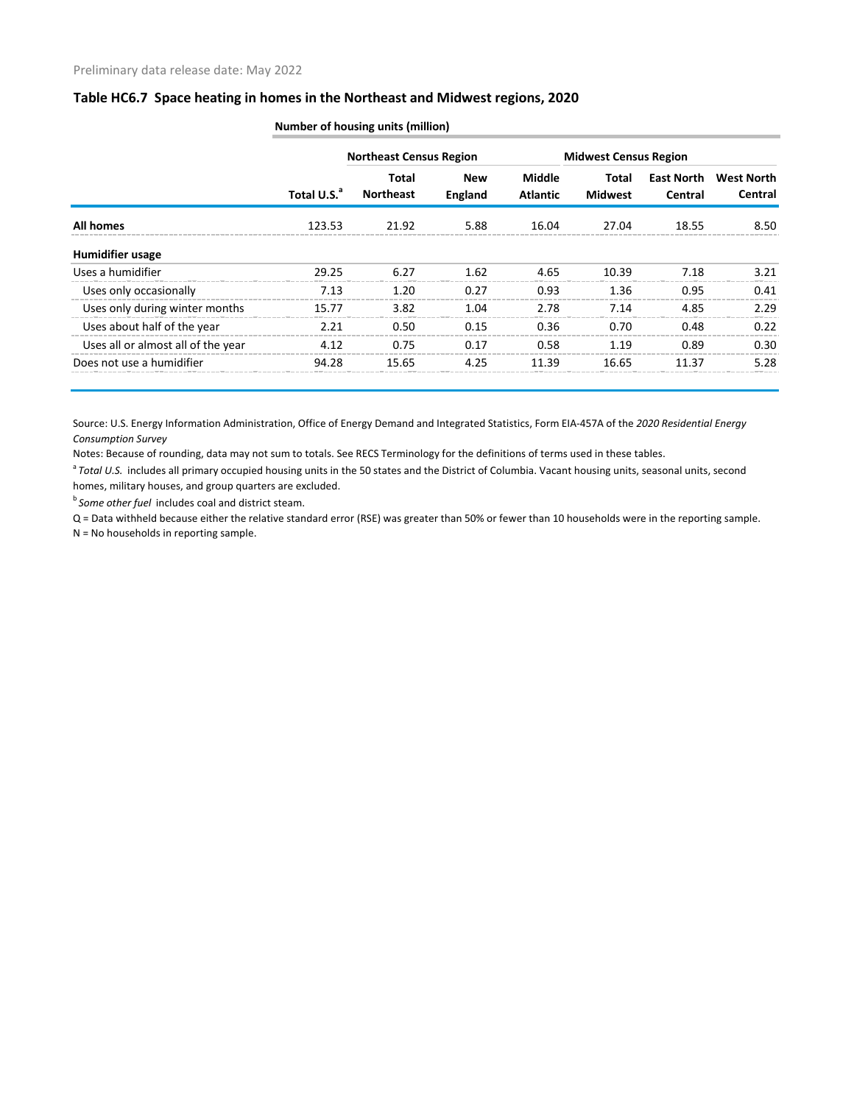|                                    |                         | <b>Northeast Census Region</b> |                       |                           | <b>Midwest Census Region</b> |                              |                              |
|------------------------------------|-------------------------|--------------------------------|-----------------------|---------------------------|------------------------------|------------------------------|------------------------------|
|                                    | Total U.S. <sup>a</sup> | Total<br><b>Northeast</b>      | <b>New</b><br>England | Middle<br><b>Atlantic</b> | Total<br><b>Midwest</b>      | <b>East North</b><br>Central | <b>West North</b><br>Central |
| All homes                          | 123.53                  | 21.92                          | 5.88                  | 16.04                     | 27.04                        | 18.55                        | 8.50                         |
| Humidifier usage                   |                         |                                |                       |                           |                              |                              |                              |
| Uses a humidifier                  | 29.25                   | 6.27                           | 1.62                  | 4.65                      | 10.39                        | 7.18                         | 3.21                         |
| Uses only occasionally             | 7.13                    | 1.20                           | 0.27                  | 0.93                      | 1.36                         | 0.95                         | 0.41                         |
| Uses only during winter months     | 15.77                   | 3.82                           | 1.04                  | 2.78                      | 7.14                         | 4.85                         | 2.29                         |
| Uses about half of the year        | 2.21                    | 0.50                           | 0.15                  | 0.36                      | 0.70                         | 0.48                         | 0.22                         |
| Uses all or almost all of the year | 4.12                    | 0.75                           | 0.17                  | 0.58                      | 1.19                         | 0.89                         | 0.30                         |
| Does not use a humidifier          | 94.28                   | 15.65                          | 4.25                  | 11.39                     | 16.65                        | 11.37                        | 5.28                         |

**Number of housing units (million)**

Source: U.S. Energy Information Administration, Office of Energy Demand and Integrated Statistics, Form EIA-457A of the *2020 Residential Energy Consumption Survey*

Notes: Because of rounding, data may not sum to totals. See RECS Terminology for the definitions of terms used in these tables.

<sup>a</sup> Total U.S. includes all primary occupied housing units in the 50 states and the District of Columbia. Vacant housing units, seasonal units, second homes, military houses, and group quarters are excluded.

*b* Some other fuel includes coal and district steam.

Q = Data withheld because either the relative standard error (RSE) was greater than 50% or fewer than 10 households were in the reporting sample. N = No households in reporting sample.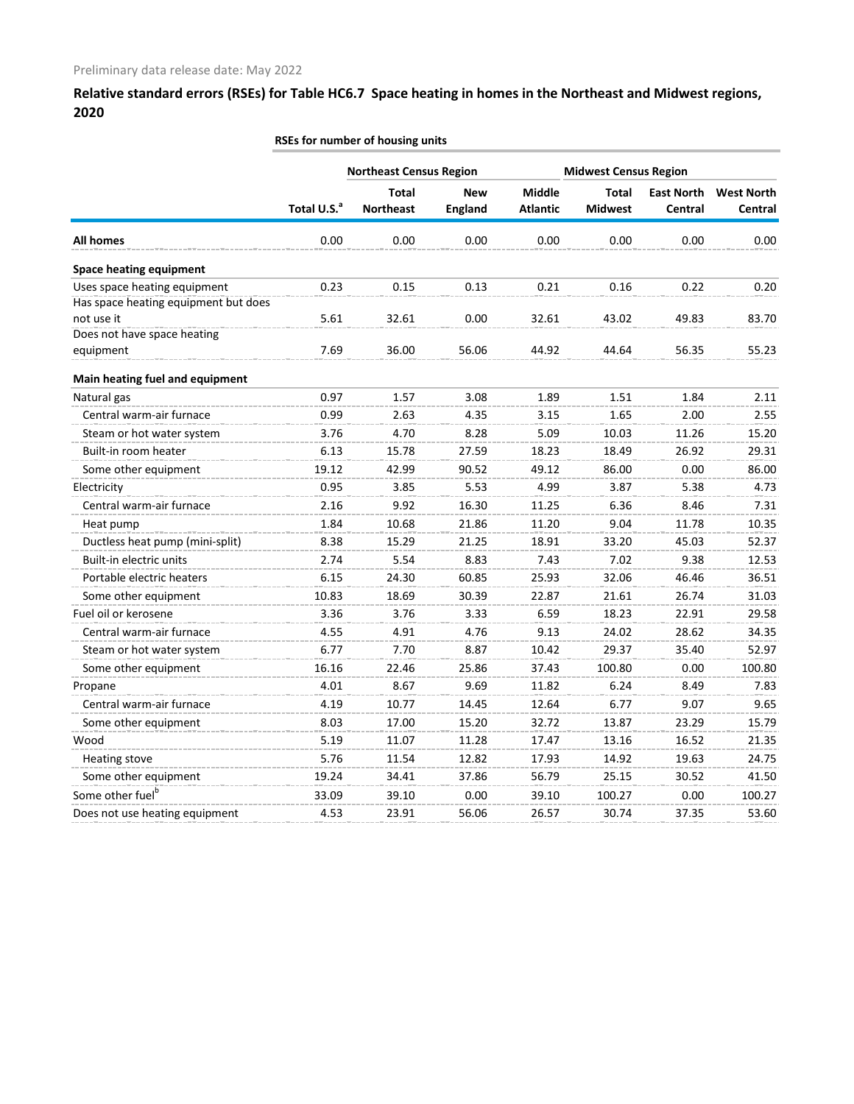|                                                                      | RSEs for number of housing units |                                  |                              |                                  |                              |                              |                              |  |  |
|----------------------------------------------------------------------|----------------------------------|----------------------------------|------------------------------|----------------------------------|------------------------------|------------------------------|------------------------------|--|--|
|                                                                      |                                  | <b>Northeast Census Region</b>   |                              |                                  | <b>Midwest Census Region</b> |                              |                              |  |  |
|                                                                      | Total U.S. <sup>a</sup>          | <b>Total</b><br><b>Northeast</b> | <b>New</b><br><b>England</b> | <b>Middle</b><br><b>Atlantic</b> | Total<br><b>Midwest</b>      | <b>East North</b><br>Central | <b>West North</b><br>Central |  |  |
| <b>All homes</b>                                                     | 0.00                             | 0.00                             | 0.00                         | 0.00                             | 0.00                         | 0.00                         | 0.00                         |  |  |
| <b>Space heating equipment</b>                                       |                                  |                                  |                              |                                  |                              |                              |                              |  |  |
| Uses space heating equipment<br>Has space heating equipment but does | 0.23                             | 0.15                             | 0.13                         | 0.21                             | 0.16                         | 0.22                         | 0.20                         |  |  |
| not use it                                                           | 5.61                             | 32.61                            | 0.00                         | 32.61                            | 43.02                        | 49.83                        | 83.70                        |  |  |
| Does not have space heating                                          |                                  |                                  |                              |                                  |                              |                              |                              |  |  |
| equipment                                                            | 7.69                             | 36.00                            | 56.06                        | 44.92                            | 44.64                        | 56.35                        | 55.23                        |  |  |
| Main heating fuel and equipment                                      |                                  |                                  |                              |                                  |                              |                              |                              |  |  |
| Natural gas                                                          | 0.97                             | 1.57                             | 3.08                         | 1.89                             | 1.51                         | 1.84                         | 2.11                         |  |  |
| Central warm-air furnace                                             | 0.99                             | 2.63                             | 4.35                         | 3.15                             | 1.65                         | 2.00                         | 2.55                         |  |  |
| Steam or hot water system                                            | 3.76                             | 4.70                             | 8.28                         | 5.09                             | 10.03                        | 11.26                        | 15.20                        |  |  |
| Built-in room heater                                                 | 6.13                             | 15.78                            | 27.59                        | 18.23                            | 18.49                        | 26.92                        | 29.31                        |  |  |
| Some other equipment                                                 | 19.12                            | 42.99                            | 90.52                        | 49.12                            | 86.00                        | 0.00                         | 86.00                        |  |  |
| Electricity                                                          | 0.95                             | 3.85                             | 5.53                         | 4.99                             | 3.87                         | 5.38                         | 4.73                         |  |  |
| Central warm-air furnace                                             | 2.16                             | 9.92                             | 16.30                        | 11.25                            | 6.36                         | 8.46                         | 7.31                         |  |  |
| Heat pump                                                            | 1.84                             | 10.68                            | 21.86                        | 11.20                            | 9.04                         | 11.78                        | 10.35                        |  |  |
| Ductless heat pump (mini-split)                                      | 8.38                             | 15.29                            | 21.25                        | 18.91                            | 33.20                        | 45.03                        | 52.37                        |  |  |
| Built-in electric units                                              | 2.74                             | 5.54                             | 8.83                         | 7.43                             | 7.02                         | 9.38                         | 12.53                        |  |  |
| Portable electric heaters                                            | 6.15                             | 24.30                            | 60.85                        | 25.93                            | 32.06                        | 46.46                        | 36.51                        |  |  |
| Some other equipment                                                 | 10.83                            | 18.69                            | 30.39                        | 22.87                            | 21.61                        | 26.74                        | 31.03                        |  |  |
| Fuel oil or kerosene                                                 | 3.36                             | 3.76                             | 3.33                         | 6.59                             | 18.23                        | 22.91                        | 29.58                        |  |  |
| Central warm-air furnace                                             | 4.55                             | 4.91                             | 4.76                         | 9.13                             | 24.02                        | 28.62                        | 34.35                        |  |  |
| Steam or hot water system                                            | 6.77                             | 7.70                             | 8.87                         | 10.42                            | 29.37                        | 35.40                        | 52.97                        |  |  |
| Some other equipment                                                 | 16.16                            | 22.46                            | 25.86                        | 37.43                            | 100.80                       | 0.00                         | 100.80                       |  |  |
| Propane                                                              | 4.01                             | 8.67                             | 9.69                         | 11.82                            | 6.24                         | 8.49                         | 7.83                         |  |  |
| Central warm-air furnace                                             | 4.19                             | 10.77                            | 14.45                        | 12.64                            | 6.77                         | 9.07                         | 9.65                         |  |  |
| Some other equipment                                                 | 8.03                             | 17.00                            | 15.20                        | 32.72                            | 13.87                        | 23.29                        | 15.79                        |  |  |
| Wood                                                                 | 5.19                             | 11.07                            | 11.28                        | 17.47                            | 13.16                        | 16.52                        | 21.35                        |  |  |
| Heating stove                                                        | 5.76                             | 11.54                            | 12.82                        | 17.93                            | 14.92                        | 19.63                        | 24.75                        |  |  |
| Some other equipment                                                 | 19.24                            | 34.41                            | 37.86                        | 56.79                            | 25.15                        | 30.52                        | 41.50                        |  |  |
| Some other fuel <sup>b</sup>                                         | 33.09                            | 39.10                            | 0.00                         | 39.10                            | 100.27                       | 0.00                         | 100.27                       |  |  |
| Does not use heating equipment                                       | 4.53                             | 23.91                            | 56.06                        | 26.57                            | 30.74                        | 37.35                        | 53.60                        |  |  |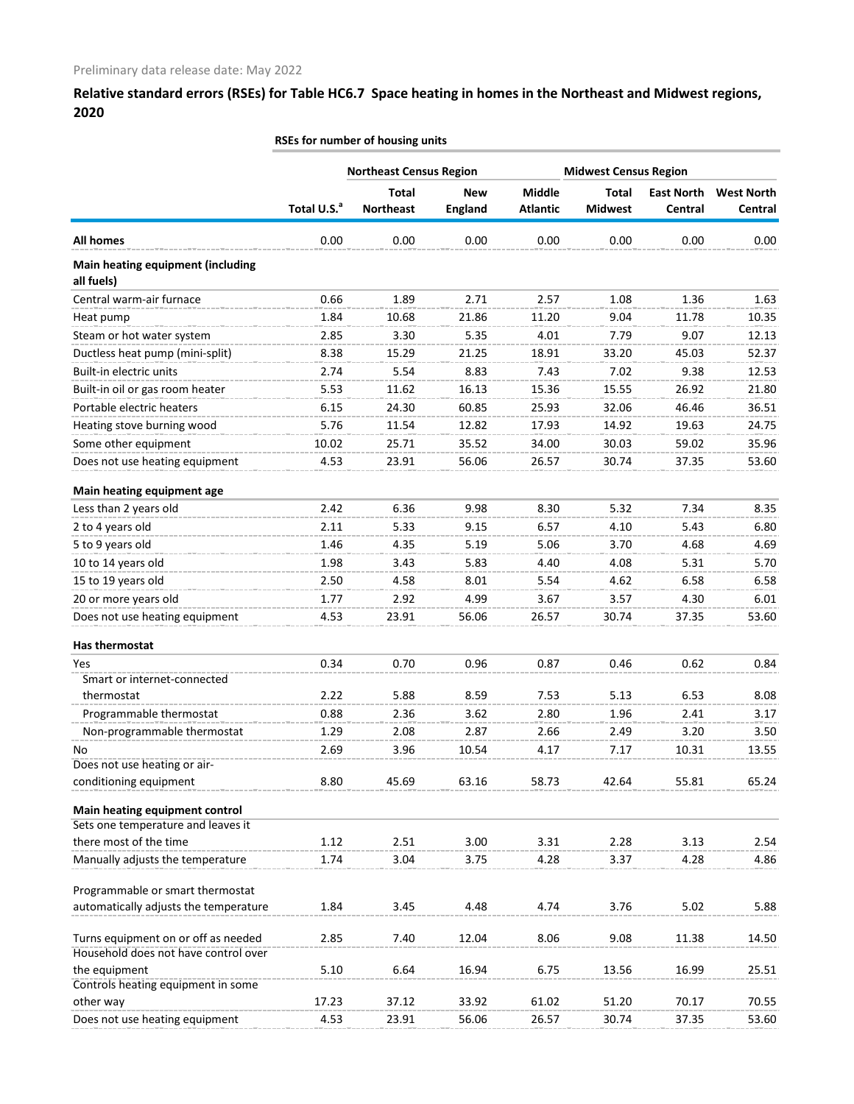**RSEs for number of housing units**

|                                                 |                         | <b>Northeast Census Region</b> |                | <b>Midwest Census Region</b> |                |                   |                   |
|-------------------------------------------------|-------------------------|--------------------------------|----------------|------------------------------|----------------|-------------------|-------------------|
|                                                 |                         | <b>Total</b>                   | <b>New</b>     | <b>Middle</b>                | <b>Total</b>   | <b>East North</b> | <b>West North</b> |
|                                                 | Total U.S. <sup>a</sup> | <b>Northeast</b>               | <b>England</b> | <b>Atlantic</b>              | <b>Midwest</b> | <b>Central</b>    | Central           |
| <b>All homes</b>                                | 0.00                    | 0.00                           | 0.00           | 0.00                         | 0.00           | 0.00              | 0.00              |
| Main heating equipment (including<br>all fuels) |                         |                                |                |                              |                |                   |                   |
| Central warm-air furnace                        | 0.66                    | 1.89                           | 2.71           | 2.57                         | 1.08           | 1.36              | 1.63              |
| Heat pump                                       | 1.84                    | 10.68                          | 21.86          | 11.20                        | 9.04           | 11.78             | 10.35             |
| Steam or hot water system                       | 2.85                    | 3.30                           | 5.35           | 4.01                         | 7.79           | 9.07              | 12.13             |
| Ductless heat pump (mini-split)                 | 8.38                    | 15.29                          | 21.25          | 18.91                        | 33.20          | 45.03             | 52.37             |
| Built-in electric units                         | 2.74                    | 5.54                           | 8.83           | 7.43                         | 7.02           | 9.38              | 12.53             |
| Built-in oil or gas room heater                 | 5.53                    | 11.62                          | 16.13          | 15.36                        | 15.55          | 26.92             | 21.80             |
| Portable electric heaters                       | 6.15                    | 24.30                          | 60.85          | 25.93                        | 32.06          | 46.46             | 36.51             |
| Heating stove burning wood                      | 5.76                    | 11.54                          | 12.82          | 17.93                        | 14.92          | 19.63             | 24.75             |
| Some other equipment                            | 10.02                   | 25.71                          | 35.52          | 34.00                        | 30.03          | 59.02             | 35.96             |
| Does not use heating equipment                  | 4.53                    | 23.91                          | 56.06          | 26.57                        | 30.74          | 37.35             | 53.60             |
|                                                 |                         |                                |                |                              |                |                   |                   |
| Main heating equipment age                      |                         |                                |                |                              |                |                   |                   |
| Less than 2 years old                           | 2.42                    | 6.36                           | 9.98           | 8.30                         | 5.32           | 7.34              | 8.35              |
| 2 to 4 years old                                | 2.11                    | 5.33                           | 9.15           | 6.57                         | 4.10           | 5.43              | 6.80              |
| 5 to 9 years old                                | 1.46                    | 4.35                           | 5.19           | 5.06                         | 3.70           | 4.68              | 4.69              |
| 10 to 14 years old                              | 1.98                    | 3.43                           | 5.83           | 4.40                         | 4.08           | 5.31              | 5.70              |
| 15 to 19 years old                              | 2.50                    | 4.58                           | 8.01           | 5.54                         | 4.62           | 6.58              | 6.58              |
| 20 or more years old                            | 1.77                    | 2.92                           | 4.99           | 3.67                         | 3.57           | 4.30              | 6.01              |
| Does not use heating equipment                  | 4.53                    | 23.91                          | 56.06          | 26.57                        | 30.74          | 37.35             | 53.60             |
| Has thermostat                                  |                         |                                |                |                              |                |                   |                   |
| Yes                                             | 0.34                    | 0.70                           | 0.96           | 0.87                         | 0.46           | 0.62              | 0.84              |
| Smart or internet-connected                     |                         |                                |                |                              |                |                   |                   |
| thermostat                                      | 2.22                    | 5.88                           | 8.59           | 7.53                         | 5.13           | 6.53              | 8.08              |
| Programmable thermostat                         | 0.88                    | 236                            | 3.62           | 2.80                         | 1.96           | 2.41              | 3.17              |
| Non-programmable thermostat                     | 1.29                    | 2.08                           | 2.87           | 2.66                         | 2.49           | 3.20              | 3.50              |
| No                                              | 2.69                    | 3.96                           | 10.54          | 4.17                         | 7.17           | 10.31             | 13.55             |
| Does not use heating or air-                    |                         |                                |                |                              |                |                   |                   |
| conditioning equipment                          | 8.80                    | 45.69                          | 63.16          | 58.73                        | 42.64          | 55.81             | 65.24             |
| Main heating equipment control                  |                         |                                |                |                              |                |                   |                   |
| Sets one temperature and leaves it              |                         |                                |                |                              |                |                   |                   |
| there most of the time                          | 1.12                    | 2.51                           | 3.00           | 3.31                         | 2.28           | 3.13              | 2.54              |
| Manually adjusts the temperature                | 1.74                    | 3.04                           | 3.75           | 4.28                         | 3.37           | 4.28              | 4.86              |
| Programmable or smart thermostat                |                         |                                |                |                              |                |                   |                   |
| automatically adjusts the temperature           | 1.84                    | 3.45                           | 4.48           | 4.74                         | 3.76           | 5.02              | 5.88              |
| Turns equipment on or off as needed             | 2.85                    | 7.40                           | 12.04          | 8.06                         | 9.08           | 11.38             | 14.50             |
| Household does not have control over            |                         |                                |                |                              |                |                   |                   |
| the equipment                                   | 5.10                    | 6.64                           | 16.94          | 6.75                         | 13.56          | 16.99             | 25.51             |
| Controls heating equipment in some              |                         |                                |                |                              |                |                   |                   |
| other way                                       | 17.23                   | 37.12                          | 33.92          | 61.02                        | 51.20          | 70.17             | 70.55             |
| Does not use heating equipment                  | 4.53                    | 23.91                          | 56.06          | 26.57                        | 30.74          | 37.35             | 53.60             |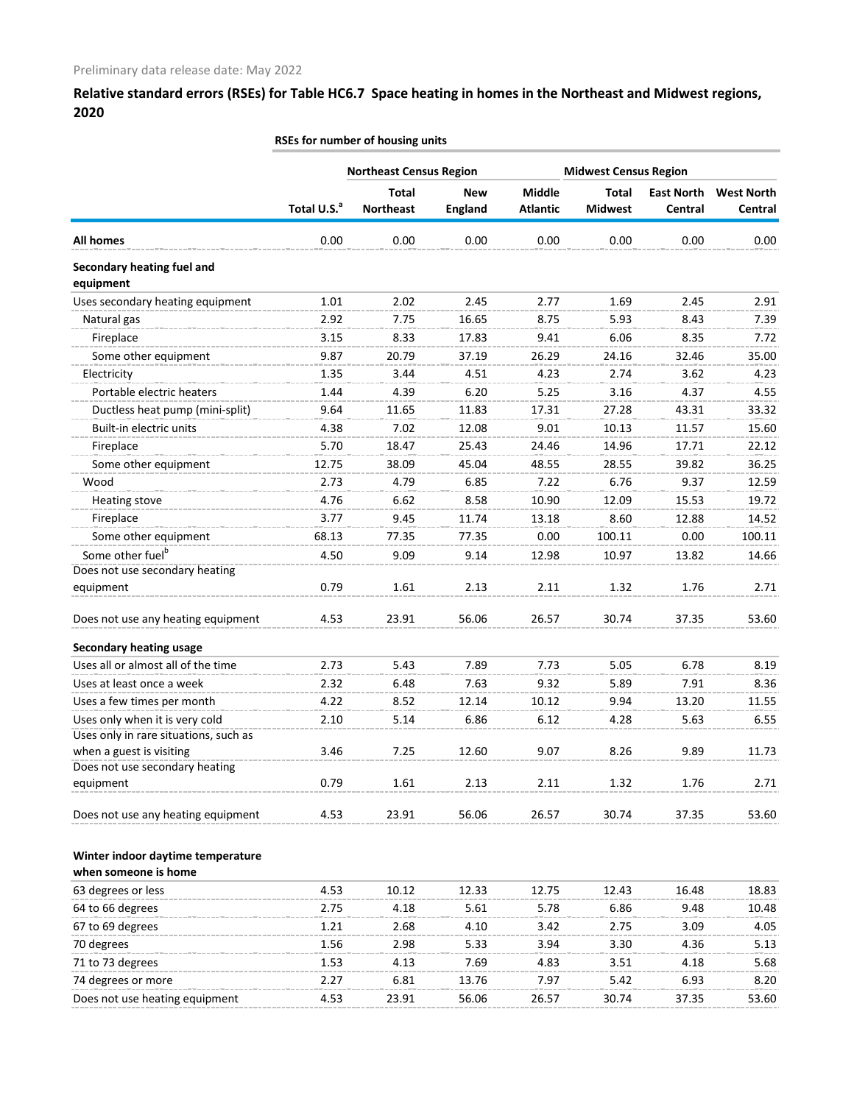|                                         | <b>Northeast Census Region</b><br><b>Midwest Census Region</b> |                  |                |                 |                |                   |                   |
|-----------------------------------------|----------------------------------------------------------------|------------------|----------------|-----------------|----------------|-------------------|-------------------|
|                                         |                                                                | <b>Total</b>     | <b>New</b>     | <b>Middle</b>   | <b>Total</b>   | <b>East North</b> | <b>West North</b> |
|                                         | Total U.S. <sup>a</sup>                                        | <b>Northeast</b> | <b>England</b> | <b>Atlantic</b> | <b>Midwest</b> | Central           | Central           |
| All homes                               | 0.00                                                           | 0.00             | 0.00           | 0.00            | 0.00           | 0.00              | 0.00              |
| Secondary heating fuel and<br>equipment |                                                                |                  |                |                 |                |                   |                   |
| Uses secondary heating equipment        | 1.01                                                           | 2.02             | 2.45           | 2.77            | 1.69           | 2.45              | 2.91              |
| Natural gas                             | 2.92                                                           | 7.75             | 16.65          | 8.75            | 5.93           | 8.43              | 7.39              |
| Fireplace                               | 3.15                                                           | 8.33             | 17.83          | 9.41            | 6.06           | 8.35              | 7.72              |
| Some other equipment                    | 9.87                                                           | 20.79            | 37.19          | 26.29           | 24.16          | 32.46             | 35.00             |
| Electricity                             | 1.35                                                           | 3.44             | 4.51           | 4.23            | 2.74           | 3.62              | 4.23              |
| Portable electric heaters               | 1.44                                                           | 4.39             | 6.20           | 5.25            | 3.16           | 4.37              | 4.55              |
| Ductless heat pump (mini-split)         | 9.64                                                           | 11.65            | 11.83          | 17.31           | 27.28          | 43.31             | 33.32             |
| Built-in electric units                 | 4.38                                                           | 7.02             | 12.08          | 9.01            | 10.13          | 11.57             | 15.60             |
| Fireplace                               | 5.70                                                           | 18.47            | 25.43          | 24.46           | 14.96          | 17.71             | 22.12             |
| Some other equipment                    | 12.75                                                          | 38.09            | 45.04          | 48.55           | 28.55          | 39.82             | 36.25             |
| Wood                                    | 2.73                                                           | 4.79             | 6.85           | 7.22            | 6.76           | 9.37              | 12.59             |
| Heating stove                           | 4.76                                                           | 6.62             | 8.58           | 10.90           | 12.09          | 15.53             | 19.72             |
| Fireplace                               | 3.77                                                           | 9.45             | 11.74          | 13.18           | 8.60           | 12.88             | 14.52             |
| Some other equipment                    | 68.13                                                          | 77.35            | 77.35          | 0.00            | 100.11         | 0.00              | 100.11            |
| Some other fuel <sup>b</sup>            | 4.50                                                           | 9.09             | 9.14           | 12.98           | 10.97          | 13.82             | 14.66             |
| Does not use secondary heating          |                                                                |                  |                |                 |                |                   |                   |
| equipment                               | 0.79                                                           | 1.61             | 2.13           | 2.11            | 1.32           | 1.76              | 2.71              |
| Does not use any heating equipment      | 4.53                                                           | 23.91            | 56.06          | 26.57           | 30.74          | 37.35             | 53.60             |
| <b>Secondary heating usage</b>          |                                                                |                  |                |                 |                |                   |                   |
| Uses all or almost all of the time      | 2.73                                                           | 5.43             | 7.89           | 7.73            | 5.05           | 6.78              | 8.19              |
| Uses at least once a week               | 2.32                                                           | 6.48             | 7.63           | 9.32            | 5.89           | 7.91              | 8.36              |
| Uses a few times per month              | 4.22                                                           | 8.52             | 12.14          | 10.12           | 9.94           | 13.20             | 11.55             |
| Uses only when it is very cold          | 2.10                                                           | 5.14             | 6.86           | 6.12            | 4.28           | 5.63              | 6.55              |
| Uses only in rare situations, such as   |                                                                |                  |                |                 |                |                   |                   |
| when a guest is visiting                | 3.46                                                           | 7.25             | 12.60          | 9.07            | 8.26           | 9.89              | 11.73             |
| Does not use secondary heating          |                                                                |                  |                |                 |                |                   |                   |
| equipment                               | 0.79                                                           | 1.61             | 2.13           | 2.11            | 1.32           | 1.76              | 2.71              |
| Does not use any heating equipment      | 4.53                                                           | 23.91            | 56.06          | 26.57           | 30.74          | 37.35             | 53.60             |
| Winter indoor daytime temperature       |                                                                |                  |                |                 |                |                   |                   |
| when someone is home                    |                                                                |                  |                |                 |                |                   |                   |
| 63 degrees or less                      | 4.53                                                           | 10.12            | 12.33          | 12.75           | 12.43          | 16.48             | 18.83             |
| 64 to 66 degrees                        | 2.75                                                           | 4.18             | 5.61           | 5.78            | 6.86           | 9.48              | 10.48             |
| 67 to 69 degrees                        | 1.21                                                           | 2.68             | 4.10           | 3.42            | 2.75           | 3.09              | 4.05              |
| 70 degrees                              | 1.56                                                           | 2.98             | 5.33           | 3.94            | 3.30           | 4.36              | 5.13              |
| 71 to 73 degrees                        | 1.53                                                           | 4.13             | 7.69           | 4.83            | 3.51           | 4.18              | 5.68              |
| 74 degrees or more                      | 2.27                                                           | 6.81             | 13.76          | 7.97            | 5.42           | 6.93              | 8.20              |
| Does not use heating equipment          | 4.53                                                           | 23.91            | 56.06          | 26.57           | 30.74          | 37.35             | 53.60             |

### **RSEs for number of housing units**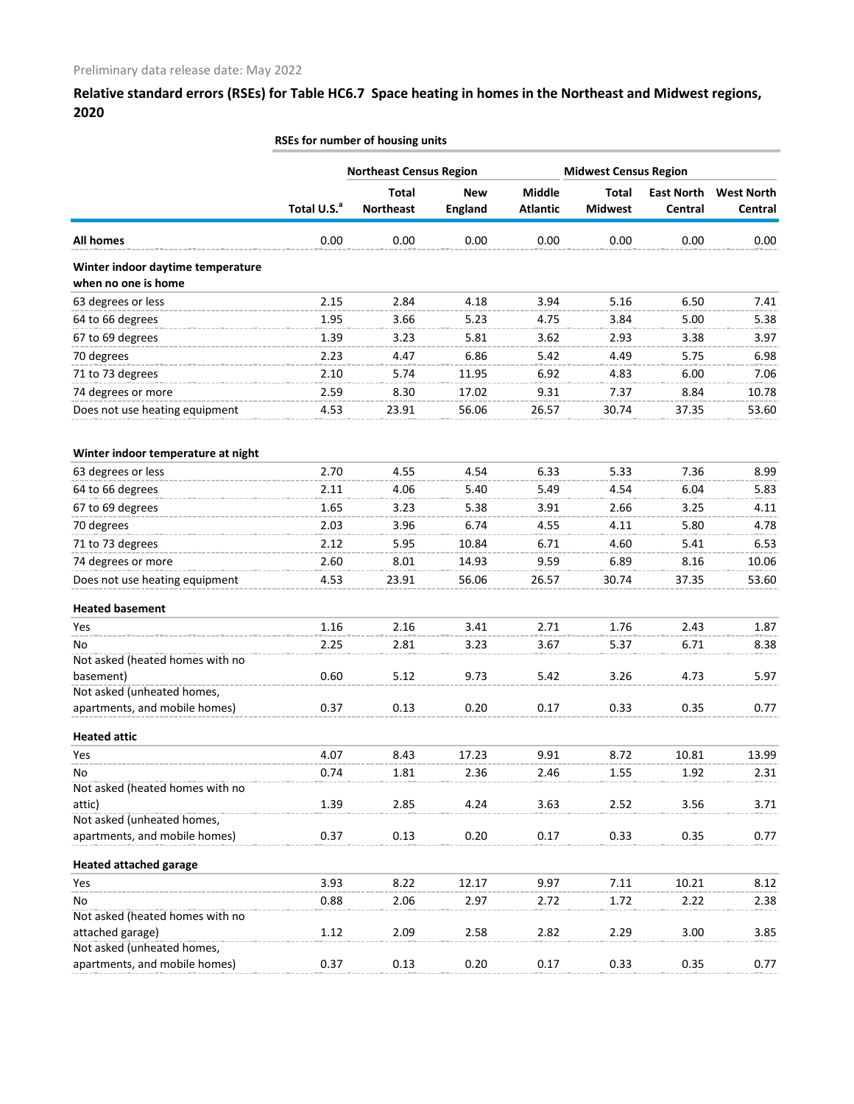| <b>Northeast Census Region</b><br><b>Midwest Census Region</b><br><b>Total</b><br><b>Middle</b><br><b>Total</b><br><b>East North</b><br><b>West North</b><br><b>New</b><br>Total U.S. <sup>a</sup><br><b>Northeast</b><br><b>England</b><br><b>Atlantic</b><br><b>Midwest</b><br>Central<br>Central<br><b>All homes</b><br>0.00<br>0.00<br>0.00<br>0.00<br>0.00<br>0.00<br>0.00<br>Winter indoor daytime temperature<br>when no one is home<br>63 degrees or less<br>2.15<br>2.84<br>4.18<br>3.94<br>5.16<br>6.50<br>7.41<br>64 to 66 degrees<br>1.95<br>3.66<br>5.23<br>4.75<br>3.84<br>5.00<br>5.38<br>67 to 69 degrees<br>1.39<br>3.62<br>2.93<br>3.38<br>3.97<br>3.23<br>5.81<br>70 degrees<br>4.47<br>5.42<br>5.75<br>2.23<br>6.86<br>4.49<br>6.98<br>71 to 73 degrees<br>6.92<br>2.10<br>5.74<br>11.95<br>4.83<br>6.00<br>7.06<br>74 degrees or more<br>2.59<br>8.30<br>17.02<br>9.31<br>7.37<br>8.84<br>10.78<br>Does not use heating equipment<br>4.53<br>23.91<br>56.06<br>26.57<br>53.60<br>30.74<br>37.35<br>Winter indoor temperature at night<br>63 degrees or less<br>2.70<br>4.55<br>4.54<br>6.33<br>5.33<br>7.36<br>8.99<br>64 to 66 degrees<br>5.49<br>2.11<br>4.06<br>5.40<br>4.54<br>6.04<br>5.83<br>67 to 69 degrees<br>1.65<br>3.23<br>3.91<br>2.66<br>5.38<br>3.25<br>4.11<br>70 degrees<br>2.03<br>3.96<br>6.74<br>4.55<br>4.11<br>5.80<br>4.78<br>6.71<br>71 to 73 degrees<br>2.12<br>5.95<br>10.84<br>4.60<br>5.41<br>6.53<br>74 degrees or more<br>2.60<br>8.01<br>14.93<br>9.59<br>6.89<br>10.06<br>8.16<br>Does not use heating equipment<br>26.57<br>4.53<br>23.91<br>56.06<br>30.74<br>37.35<br>53.60<br><b>Heated basement</b><br>1.16<br>2.16<br>3.41<br>2.71<br>1.76<br>2.43<br>1.87<br>Yes<br>2.25<br>2.81<br>3.67<br>5.37<br>No<br>3.23<br>6.71<br>8.38<br>Not asked (heated homes with no<br>0.60<br>basement)<br>5.12<br>9.73<br>5.42<br>3.26<br>4.73<br>5.97<br>Not asked (unheated homes,<br>0.20<br>apartments, and mobile homes)<br>0.37<br>0.13<br>0.17<br>0.33<br>0.35<br>0.77<br><b>Heated attic</b><br>4.07<br>8.43<br>17.23<br>9.91<br>8.72<br>10.81<br>Yes<br>13.99<br>No<br>0.74<br>1.81<br>1.92<br>2.36<br>2.46<br>1.55<br>2.31<br>Not asked (heated homes with no<br>attic)<br>1.39<br>2.85<br>4.24<br>3.63<br>2.52<br>3.56<br>3.71<br>Not asked (unheated homes,<br>apartments, and mobile homes)<br>0.37<br>0.13<br>0.20<br>0.17<br>0.33<br>0.35<br>0.77<br><b>Heated attached garage</b><br>3.93<br>8.22<br>12.17<br>9.97<br>7.11<br>10.21<br>8.12<br>Yes<br>No<br>0.88<br>2.06<br>2.97<br>2.72<br>1.72<br>2.22<br>2.38<br>Not asked (heated homes with no<br>attached garage)<br>1.12<br>2.09<br>2.58<br>2.82<br>2.29<br>3.00<br>3.85<br>Not asked (unheated homes,<br>apartments, and mobile homes)<br>0.20<br>0.37<br>0.13<br>0.17<br>0.33<br>0.35<br>0.77 | RSEs for number of housing units |  |  |  |  |  |  |  |
|--------------------------------------------------------------------------------------------------------------------------------------------------------------------------------------------------------------------------------------------------------------------------------------------------------------------------------------------------------------------------------------------------------------------------------------------------------------------------------------------------------------------------------------------------------------------------------------------------------------------------------------------------------------------------------------------------------------------------------------------------------------------------------------------------------------------------------------------------------------------------------------------------------------------------------------------------------------------------------------------------------------------------------------------------------------------------------------------------------------------------------------------------------------------------------------------------------------------------------------------------------------------------------------------------------------------------------------------------------------------------------------------------------------------------------------------------------------------------------------------------------------------------------------------------------------------------------------------------------------------------------------------------------------------------------------------------------------------------------------------------------------------------------------------------------------------------------------------------------------------------------------------------------------------------------------------------------------------------------------------------------------------------------------------------------------------------------------------------------------------------------------------------------------------------------------------------------------------------------------------------------------------------------------------------------------------------------------------------------------------------------------------------------------------------------------------------------------------------------------------------------------------------------------------------------------------------------------------------------------------------------------------------------------------------------------------------------------------------------------------------------------------------------------------------------------------|----------------------------------|--|--|--|--|--|--|--|
|                                                                                                                                                                                                                                                                                                                                                                                                                                                                                                                                                                                                                                                                                                                                                                                                                                                                                                                                                                                                                                                                                                                                                                                                                                                                                                                                                                                                                                                                                                                                                                                                                                                                                                                                                                                                                                                                                                                                                                                                                                                                                                                                                                                                                                                                                                                                                                                                                                                                                                                                                                                                                                                                                                                                                                                                                    |                                  |  |  |  |  |  |  |  |
|                                                                                                                                                                                                                                                                                                                                                                                                                                                                                                                                                                                                                                                                                                                                                                                                                                                                                                                                                                                                                                                                                                                                                                                                                                                                                                                                                                                                                                                                                                                                                                                                                                                                                                                                                                                                                                                                                                                                                                                                                                                                                                                                                                                                                                                                                                                                                                                                                                                                                                                                                                                                                                                                                                                                                                                                                    |                                  |  |  |  |  |  |  |  |
|                                                                                                                                                                                                                                                                                                                                                                                                                                                                                                                                                                                                                                                                                                                                                                                                                                                                                                                                                                                                                                                                                                                                                                                                                                                                                                                                                                                                                                                                                                                                                                                                                                                                                                                                                                                                                                                                                                                                                                                                                                                                                                                                                                                                                                                                                                                                                                                                                                                                                                                                                                                                                                                                                                                                                                                                                    |                                  |  |  |  |  |  |  |  |
|                                                                                                                                                                                                                                                                                                                                                                                                                                                                                                                                                                                                                                                                                                                                                                                                                                                                                                                                                                                                                                                                                                                                                                                                                                                                                                                                                                                                                                                                                                                                                                                                                                                                                                                                                                                                                                                                                                                                                                                                                                                                                                                                                                                                                                                                                                                                                                                                                                                                                                                                                                                                                                                                                                                                                                                                                    |                                  |  |  |  |  |  |  |  |
|                                                                                                                                                                                                                                                                                                                                                                                                                                                                                                                                                                                                                                                                                                                                                                                                                                                                                                                                                                                                                                                                                                                                                                                                                                                                                                                                                                                                                                                                                                                                                                                                                                                                                                                                                                                                                                                                                                                                                                                                                                                                                                                                                                                                                                                                                                                                                                                                                                                                                                                                                                                                                                                                                                                                                                                                                    |                                  |  |  |  |  |  |  |  |
|                                                                                                                                                                                                                                                                                                                                                                                                                                                                                                                                                                                                                                                                                                                                                                                                                                                                                                                                                                                                                                                                                                                                                                                                                                                                                                                                                                                                                                                                                                                                                                                                                                                                                                                                                                                                                                                                                                                                                                                                                                                                                                                                                                                                                                                                                                                                                                                                                                                                                                                                                                                                                                                                                                                                                                                                                    |                                  |  |  |  |  |  |  |  |
|                                                                                                                                                                                                                                                                                                                                                                                                                                                                                                                                                                                                                                                                                                                                                                                                                                                                                                                                                                                                                                                                                                                                                                                                                                                                                                                                                                                                                                                                                                                                                                                                                                                                                                                                                                                                                                                                                                                                                                                                                                                                                                                                                                                                                                                                                                                                                                                                                                                                                                                                                                                                                                                                                                                                                                                                                    |                                  |  |  |  |  |  |  |  |
|                                                                                                                                                                                                                                                                                                                                                                                                                                                                                                                                                                                                                                                                                                                                                                                                                                                                                                                                                                                                                                                                                                                                                                                                                                                                                                                                                                                                                                                                                                                                                                                                                                                                                                                                                                                                                                                                                                                                                                                                                                                                                                                                                                                                                                                                                                                                                                                                                                                                                                                                                                                                                                                                                                                                                                                                                    |                                  |  |  |  |  |  |  |  |
|                                                                                                                                                                                                                                                                                                                                                                                                                                                                                                                                                                                                                                                                                                                                                                                                                                                                                                                                                                                                                                                                                                                                                                                                                                                                                                                                                                                                                                                                                                                                                                                                                                                                                                                                                                                                                                                                                                                                                                                                                                                                                                                                                                                                                                                                                                                                                                                                                                                                                                                                                                                                                                                                                                                                                                                                                    |                                  |  |  |  |  |  |  |  |
|                                                                                                                                                                                                                                                                                                                                                                                                                                                                                                                                                                                                                                                                                                                                                                                                                                                                                                                                                                                                                                                                                                                                                                                                                                                                                                                                                                                                                                                                                                                                                                                                                                                                                                                                                                                                                                                                                                                                                                                                                                                                                                                                                                                                                                                                                                                                                                                                                                                                                                                                                                                                                                                                                                                                                                                                                    |                                  |  |  |  |  |  |  |  |
|                                                                                                                                                                                                                                                                                                                                                                                                                                                                                                                                                                                                                                                                                                                                                                                                                                                                                                                                                                                                                                                                                                                                                                                                                                                                                                                                                                                                                                                                                                                                                                                                                                                                                                                                                                                                                                                                                                                                                                                                                                                                                                                                                                                                                                                                                                                                                                                                                                                                                                                                                                                                                                                                                                                                                                                                                    |                                  |  |  |  |  |  |  |  |
|                                                                                                                                                                                                                                                                                                                                                                                                                                                                                                                                                                                                                                                                                                                                                                                                                                                                                                                                                                                                                                                                                                                                                                                                                                                                                                                                                                                                                                                                                                                                                                                                                                                                                                                                                                                                                                                                                                                                                                                                                                                                                                                                                                                                                                                                                                                                                                                                                                                                                                                                                                                                                                                                                                                                                                                                                    |                                  |  |  |  |  |  |  |  |
|                                                                                                                                                                                                                                                                                                                                                                                                                                                                                                                                                                                                                                                                                                                                                                                                                                                                                                                                                                                                                                                                                                                                                                                                                                                                                                                                                                                                                                                                                                                                                                                                                                                                                                                                                                                                                                                                                                                                                                                                                                                                                                                                                                                                                                                                                                                                                                                                                                                                                                                                                                                                                                                                                                                                                                                                                    |                                  |  |  |  |  |  |  |  |
|                                                                                                                                                                                                                                                                                                                                                                                                                                                                                                                                                                                                                                                                                                                                                                                                                                                                                                                                                                                                                                                                                                                                                                                                                                                                                                                                                                                                                                                                                                                                                                                                                                                                                                                                                                                                                                                                                                                                                                                                                                                                                                                                                                                                                                                                                                                                                                                                                                                                                                                                                                                                                                                                                                                                                                                                                    |                                  |  |  |  |  |  |  |  |
|                                                                                                                                                                                                                                                                                                                                                                                                                                                                                                                                                                                                                                                                                                                                                                                                                                                                                                                                                                                                                                                                                                                                                                                                                                                                                                                                                                                                                                                                                                                                                                                                                                                                                                                                                                                                                                                                                                                                                                                                                                                                                                                                                                                                                                                                                                                                                                                                                                                                                                                                                                                                                                                                                                                                                                                                                    |                                  |  |  |  |  |  |  |  |
|                                                                                                                                                                                                                                                                                                                                                                                                                                                                                                                                                                                                                                                                                                                                                                                                                                                                                                                                                                                                                                                                                                                                                                                                                                                                                                                                                                                                                                                                                                                                                                                                                                                                                                                                                                                                                                                                                                                                                                                                                                                                                                                                                                                                                                                                                                                                                                                                                                                                                                                                                                                                                                                                                                                                                                                                                    |                                  |  |  |  |  |  |  |  |
|                                                                                                                                                                                                                                                                                                                                                                                                                                                                                                                                                                                                                                                                                                                                                                                                                                                                                                                                                                                                                                                                                                                                                                                                                                                                                                                                                                                                                                                                                                                                                                                                                                                                                                                                                                                                                                                                                                                                                                                                                                                                                                                                                                                                                                                                                                                                                                                                                                                                                                                                                                                                                                                                                                                                                                                                                    |                                  |  |  |  |  |  |  |  |
|                                                                                                                                                                                                                                                                                                                                                                                                                                                                                                                                                                                                                                                                                                                                                                                                                                                                                                                                                                                                                                                                                                                                                                                                                                                                                                                                                                                                                                                                                                                                                                                                                                                                                                                                                                                                                                                                                                                                                                                                                                                                                                                                                                                                                                                                                                                                                                                                                                                                                                                                                                                                                                                                                                                                                                                                                    |                                  |  |  |  |  |  |  |  |
|                                                                                                                                                                                                                                                                                                                                                                                                                                                                                                                                                                                                                                                                                                                                                                                                                                                                                                                                                                                                                                                                                                                                                                                                                                                                                                                                                                                                                                                                                                                                                                                                                                                                                                                                                                                                                                                                                                                                                                                                                                                                                                                                                                                                                                                                                                                                                                                                                                                                                                                                                                                                                                                                                                                                                                                                                    |                                  |  |  |  |  |  |  |  |
|                                                                                                                                                                                                                                                                                                                                                                                                                                                                                                                                                                                                                                                                                                                                                                                                                                                                                                                                                                                                                                                                                                                                                                                                                                                                                                                                                                                                                                                                                                                                                                                                                                                                                                                                                                                                                                                                                                                                                                                                                                                                                                                                                                                                                                                                                                                                                                                                                                                                                                                                                                                                                                                                                                                                                                                                                    |                                  |  |  |  |  |  |  |  |
|                                                                                                                                                                                                                                                                                                                                                                                                                                                                                                                                                                                                                                                                                                                                                                                                                                                                                                                                                                                                                                                                                                                                                                                                                                                                                                                                                                                                                                                                                                                                                                                                                                                                                                                                                                                                                                                                                                                                                                                                                                                                                                                                                                                                                                                                                                                                                                                                                                                                                                                                                                                                                                                                                                                                                                                                                    |                                  |  |  |  |  |  |  |  |
|                                                                                                                                                                                                                                                                                                                                                                                                                                                                                                                                                                                                                                                                                                                                                                                                                                                                                                                                                                                                                                                                                                                                                                                                                                                                                                                                                                                                                                                                                                                                                                                                                                                                                                                                                                                                                                                                                                                                                                                                                                                                                                                                                                                                                                                                                                                                                                                                                                                                                                                                                                                                                                                                                                                                                                                                                    |                                  |  |  |  |  |  |  |  |
|                                                                                                                                                                                                                                                                                                                                                                                                                                                                                                                                                                                                                                                                                                                                                                                                                                                                                                                                                                                                                                                                                                                                                                                                                                                                                                                                                                                                                                                                                                                                                                                                                                                                                                                                                                                                                                                                                                                                                                                                                                                                                                                                                                                                                                                                                                                                                                                                                                                                                                                                                                                                                                                                                                                                                                                                                    |                                  |  |  |  |  |  |  |  |
|                                                                                                                                                                                                                                                                                                                                                                                                                                                                                                                                                                                                                                                                                                                                                                                                                                                                                                                                                                                                                                                                                                                                                                                                                                                                                                                                                                                                                                                                                                                                                                                                                                                                                                                                                                                                                                                                                                                                                                                                                                                                                                                                                                                                                                                                                                                                                                                                                                                                                                                                                                                                                                                                                                                                                                                                                    |                                  |  |  |  |  |  |  |  |
|                                                                                                                                                                                                                                                                                                                                                                                                                                                                                                                                                                                                                                                                                                                                                                                                                                                                                                                                                                                                                                                                                                                                                                                                                                                                                                                                                                                                                                                                                                                                                                                                                                                                                                                                                                                                                                                                                                                                                                                                                                                                                                                                                                                                                                                                                                                                                                                                                                                                                                                                                                                                                                                                                                                                                                                                                    |                                  |  |  |  |  |  |  |  |
|                                                                                                                                                                                                                                                                                                                                                                                                                                                                                                                                                                                                                                                                                                                                                                                                                                                                                                                                                                                                                                                                                                                                                                                                                                                                                                                                                                                                                                                                                                                                                                                                                                                                                                                                                                                                                                                                                                                                                                                                                                                                                                                                                                                                                                                                                                                                                                                                                                                                                                                                                                                                                                                                                                                                                                                                                    |                                  |  |  |  |  |  |  |  |
|                                                                                                                                                                                                                                                                                                                                                                                                                                                                                                                                                                                                                                                                                                                                                                                                                                                                                                                                                                                                                                                                                                                                                                                                                                                                                                                                                                                                                                                                                                                                                                                                                                                                                                                                                                                                                                                                                                                                                                                                                                                                                                                                                                                                                                                                                                                                                                                                                                                                                                                                                                                                                                                                                                                                                                                                                    |                                  |  |  |  |  |  |  |  |
|                                                                                                                                                                                                                                                                                                                                                                                                                                                                                                                                                                                                                                                                                                                                                                                                                                                                                                                                                                                                                                                                                                                                                                                                                                                                                                                                                                                                                                                                                                                                                                                                                                                                                                                                                                                                                                                                                                                                                                                                                                                                                                                                                                                                                                                                                                                                                                                                                                                                                                                                                                                                                                                                                                                                                                                                                    |                                  |  |  |  |  |  |  |  |
|                                                                                                                                                                                                                                                                                                                                                                                                                                                                                                                                                                                                                                                                                                                                                                                                                                                                                                                                                                                                                                                                                                                                                                                                                                                                                                                                                                                                                                                                                                                                                                                                                                                                                                                                                                                                                                                                                                                                                                                                                                                                                                                                                                                                                                                                                                                                                                                                                                                                                                                                                                                                                                                                                                                                                                                                                    |                                  |  |  |  |  |  |  |  |
|                                                                                                                                                                                                                                                                                                                                                                                                                                                                                                                                                                                                                                                                                                                                                                                                                                                                                                                                                                                                                                                                                                                                                                                                                                                                                                                                                                                                                                                                                                                                                                                                                                                                                                                                                                                                                                                                                                                                                                                                                                                                                                                                                                                                                                                                                                                                                                                                                                                                                                                                                                                                                                                                                                                                                                                                                    |                                  |  |  |  |  |  |  |  |
|                                                                                                                                                                                                                                                                                                                                                                                                                                                                                                                                                                                                                                                                                                                                                                                                                                                                                                                                                                                                                                                                                                                                                                                                                                                                                                                                                                                                                                                                                                                                                                                                                                                                                                                                                                                                                                                                                                                                                                                                                                                                                                                                                                                                                                                                                                                                                                                                                                                                                                                                                                                                                                                                                                                                                                                                                    |                                  |  |  |  |  |  |  |  |
|                                                                                                                                                                                                                                                                                                                                                                                                                                                                                                                                                                                                                                                                                                                                                                                                                                                                                                                                                                                                                                                                                                                                                                                                                                                                                                                                                                                                                                                                                                                                                                                                                                                                                                                                                                                                                                                                                                                                                                                                                                                                                                                                                                                                                                                                                                                                                                                                                                                                                                                                                                                                                                                                                                                                                                                                                    |                                  |  |  |  |  |  |  |  |
|                                                                                                                                                                                                                                                                                                                                                                                                                                                                                                                                                                                                                                                                                                                                                                                                                                                                                                                                                                                                                                                                                                                                                                                                                                                                                                                                                                                                                                                                                                                                                                                                                                                                                                                                                                                                                                                                                                                                                                                                                                                                                                                                                                                                                                                                                                                                                                                                                                                                                                                                                                                                                                                                                                                                                                                                                    |                                  |  |  |  |  |  |  |  |
|                                                                                                                                                                                                                                                                                                                                                                                                                                                                                                                                                                                                                                                                                                                                                                                                                                                                                                                                                                                                                                                                                                                                                                                                                                                                                                                                                                                                                                                                                                                                                                                                                                                                                                                                                                                                                                                                                                                                                                                                                                                                                                                                                                                                                                                                                                                                                                                                                                                                                                                                                                                                                                                                                                                                                                                                                    |                                  |  |  |  |  |  |  |  |
|                                                                                                                                                                                                                                                                                                                                                                                                                                                                                                                                                                                                                                                                                                                                                                                                                                                                                                                                                                                                                                                                                                                                                                                                                                                                                                                                                                                                                                                                                                                                                                                                                                                                                                                                                                                                                                                                                                                                                                                                                                                                                                                                                                                                                                                                                                                                                                                                                                                                                                                                                                                                                                                                                                                                                                                                                    |                                  |  |  |  |  |  |  |  |
|                                                                                                                                                                                                                                                                                                                                                                                                                                                                                                                                                                                                                                                                                                                                                                                                                                                                                                                                                                                                                                                                                                                                                                                                                                                                                                                                                                                                                                                                                                                                                                                                                                                                                                                                                                                                                                                                                                                                                                                                                                                                                                                                                                                                                                                                                                                                                                                                                                                                                                                                                                                                                                                                                                                                                                                                                    |                                  |  |  |  |  |  |  |  |
|                                                                                                                                                                                                                                                                                                                                                                                                                                                                                                                                                                                                                                                                                                                                                                                                                                                                                                                                                                                                                                                                                                                                                                                                                                                                                                                                                                                                                                                                                                                                                                                                                                                                                                                                                                                                                                                                                                                                                                                                                                                                                                                                                                                                                                                                                                                                                                                                                                                                                                                                                                                                                                                                                                                                                                                                                    |                                  |  |  |  |  |  |  |  |
|                                                                                                                                                                                                                                                                                                                                                                                                                                                                                                                                                                                                                                                                                                                                                                                                                                                                                                                                                                                                                                                                                                                                                                                                                                                                                                                                                                                                                                                                                                                                                                                                                                                                                                                                                                                                                                                                                                                                                                                                                                                                                                                                                                                                                                                                                                                                                                                                                                                                                                                                                                                                                                                                                                                                                                                                                    |                                  |  |  |  |  |  |  |  |
|                                                                                                                                                                                                                                                                                                                                                                                                                                                                                                                                                                                                                                                                                                                                                                                                                                                                                                                                                                                                                                                                                                                                                                                                                                                                                                                                                                                                                                                                                                                                                                                                                                                                                                                                                                                                                                                                                                                                                                                                                                                                                                                                                                                                                                                                                                                                                                                                                                                                                                                                                                                                                                                                                                                                                                                                                    |                                  |  |  |  |  |  |  |  |